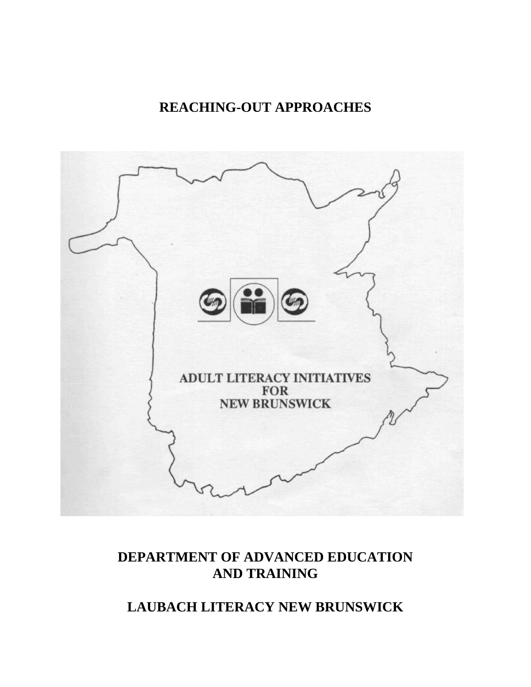## **REACHING-OUT APPROACHES**



## **DEPARTMENT OF ADVANCED EDUCATION AND TRAINING**

## **LAUBACH LITERACY NEW BRUNSWICK**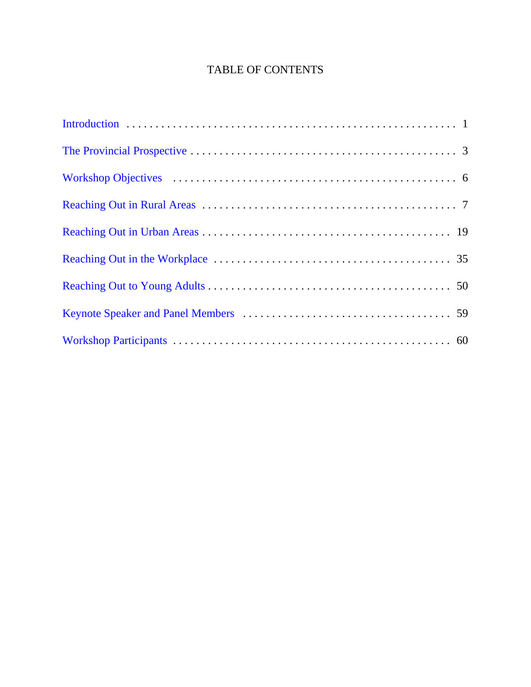### TABLE OF CONTENTS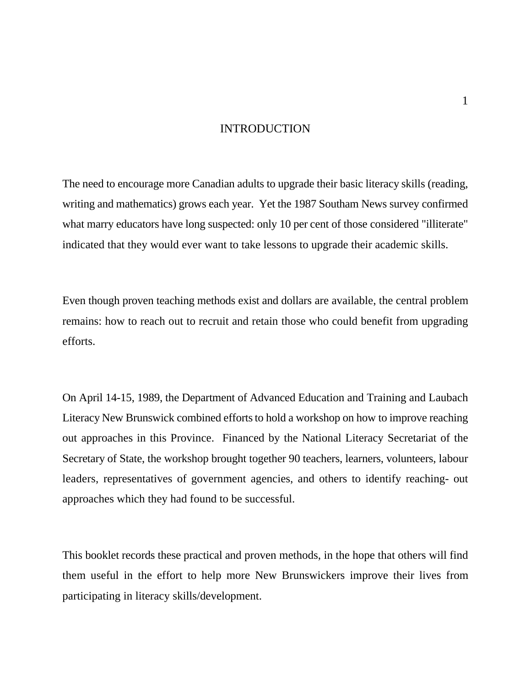### INTRODUCTION

<span id="page-2-0"></span>The need to encourage more Canadian adults to upgrade their basic literacy skills (reading, writing and mathematics) grows each year. Yet the 1987 Southam News survey confirmed what marry educators have long suspected: only 10 per cent of those considered "illiterate" indicated that they would ever want to take lessons to upgrade their academic skills.

Even though proven teaching methods exist and dollars are available, the central problem remains: how to reach out to recruit and retain those who could benefit from upgrading efforts.

On April 14-15, 1989, the Department of Advanced Education and Training and Laubach Literacy New Brunswick combined efforts to hold a workshop on how to improve reaching out approaches in this Province. Financed by the National Literacy Secretariat of the Secretary of State, the workshop brought together 90 teachers, learners, volunteers, labour leaders, representatives of government agencies, and others to identify reaching- out approaches which they had found to be successful.

This booklet records these practical and proven methods, in the hope that others will find them useful in the effort to help more New Brunswickers improve their lives from participating in literacy skills/development.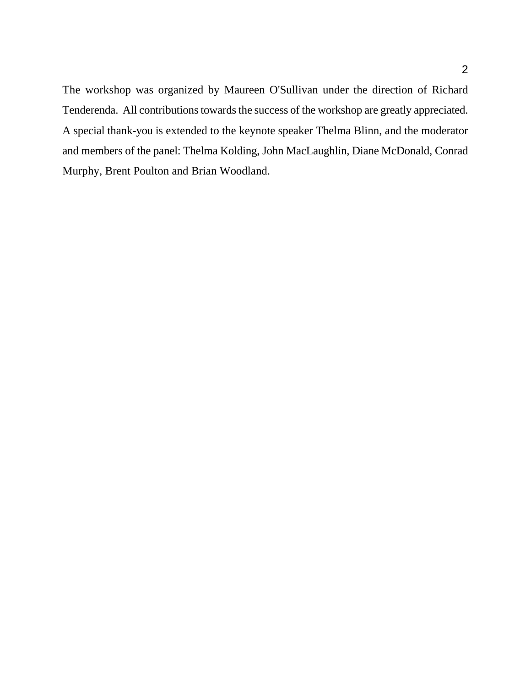The workshop was organized by Maureen O'Sullivan under the direction of Richard Tenderenda. All contributions towards the success of the workshop are greatly appreciated. A special thank-you is extended to the keynote speaker Thelma Blinn, and the moderator and members of the panel: Thelma Kolding, John MacLaughlin, Diane McDonald, Conrad Murphy, Brent Poulton and Brian Woodland.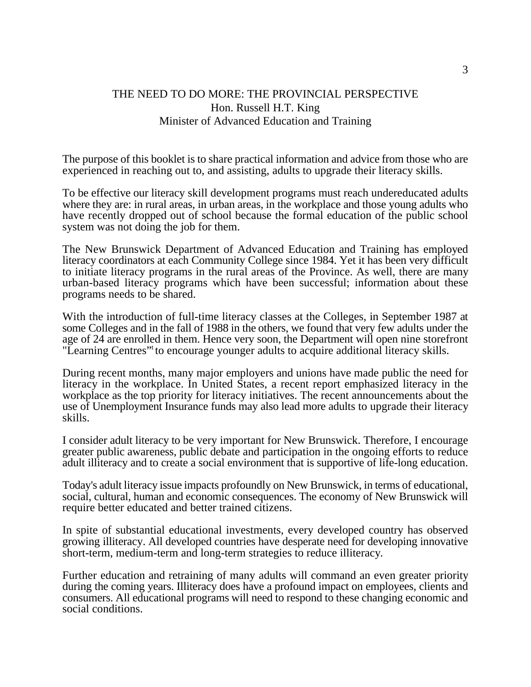### <span id="page-4-0"></span>THE NEED TO DO MORE: THE PROVINCIAL PERSPECTIVE Hon. Russell H.T. King Minister of Advanced Education and Training

The purpose of this booklet is to share practical information and advice from those who are experienced in reaching out to, and assisting, adults to upgrade their literacy skills.

To be effective our literacy skill development programs must reach undereducated adults where they are: in rural areas, in urban areas, in the workplace and those young adults who have recently dropped out of school because the formal education of the public school system was not doing the job for them.

The New Brunswick Department of Advanced Education and Training has employed literacy coordinators at each Community College since 1984. Yet it has been very difficult to initiate literacy programs in the rural areas of the Province. As well, there are many urban-based literacy programs which have been successful; information about these programs needs to be shared.

With the introduction of full-time literacy classes at the Colleges, in September 1987 at some Colleges and in the fall of 1988 in the others, we found that very few adults under the age of 24 are enrolled in them. Hence very soon, the Department will open nine storefront "Learning Centres" to encourage younger adults to acquire additional literacy skills.

During recent months, many major employers and unions have made public the need for literacy in the workplace. In United States, a recent report emphasized literacy in the workplace as the top priority for literacy initiatives. The recent announcements about the use of Unemployment Insurance funds may also lead more adults to upgrade their literacy skills.

I consider adult literacy to be very important for New Brunswick. Therefore, I encourage greater public awareness, public debate and participation in the ongoing efforts to reduce adult illiteracy and to create a social environment that is supportive of life-long education.

Today's adult literacy issue impacts profoundly on New Brunswick, in terms of educational, social, cultural, human and economic consequences. The economy of New Brunswick will require better educated and better trained citizens.

In spite of substantial educational investments, every developed country has observed growing illiteracy. All developed countries have desperate need for developing innovative short-term, medium-term and long-term strategies to reduce illiteracy.

Further education and retraining of many adults will command an even greater priority during the coming years. Illiteracy does have a profound impact on employees, clients and consumers. All educational programs will need to respond to these changing economic and social conditions.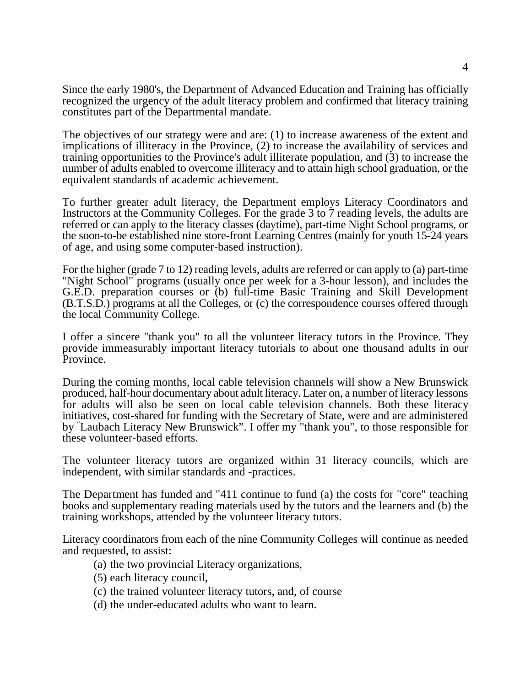Since the early 1980's, the Department of Advanced Education and Training has officially recognized the urgency of the adult literacy problem and confirmed that literacy training constitutes part of the Departmental mandate.

The objectives of our strategy were and are: (1) to increase awareness of the extent and implications of illiteracy in the Province, (2) to increase the availability of services and training opportunities to the Province's adult illiterate population, and (3) to increase the number of adults enabled to overcome illiteracy and to attain high school graduation, or the equivalent standards of academic achievement.

To further greater adult literacy, the Department employs Literacy Coordinators and Instructors at the Community Colleges. For the grade 3 to 7 reading levels, the adults are referred or can apply to the literacy classes (daytime), part-time Night School programs, or the soon-to-be established nine store-front Learning Centres (mainly for youth 15-24 years of age, and using some computer-based instruction).

For the higher (grade 7 to 12) reading levels, adults are referred or can apply to (a) part-time "Night School" programs (usually once per week for a 3-hour lesson), and includes the G.E.D. preparation courses or (b) full-time Basic Training and Skill Development (B.T.S.D.) programs at all the Colleges, or (c) the correspondence courses offered through the local Community College.

I offer a sincere "thank you" to all the volunteer literacy tutors in the Province. They provide immeasurably important literacy tutorials to about one thousand adults in our Province.

During the coming months, local cable television channels will show a New Brunswick produced, half-hour documentary about adult literacy. Later on, a number of literacy lessons for adults will also be seen on local cable television channels. Both these literacy initiatives, cost-shared for funding with the Secretary of State, were and are administered by "Laubach Literacy New Brunswick". I offer my "thank you", to those responsible for these volunteer-based efforts.

The volunteer literacy tutors are organized within 31 literacy councils, which are independent, with similar standards and -practices.

The Department has funded and "411 continue to fund (a) the costs for "core" teaching books and supplementary reading materials used by the tutors and the learners and (b) the training workshops, attended by the volunteer literacy tutors.

Literacy coordinators from each of the nine Community Colleges will continue as needed and requested, to assist:

- (a) the two provincial Literacy organizations,
- (5) each literacy council,
- (c) the trained volunteer literacy tutors, and, of course
- (d) the under-educated adults who want to learn.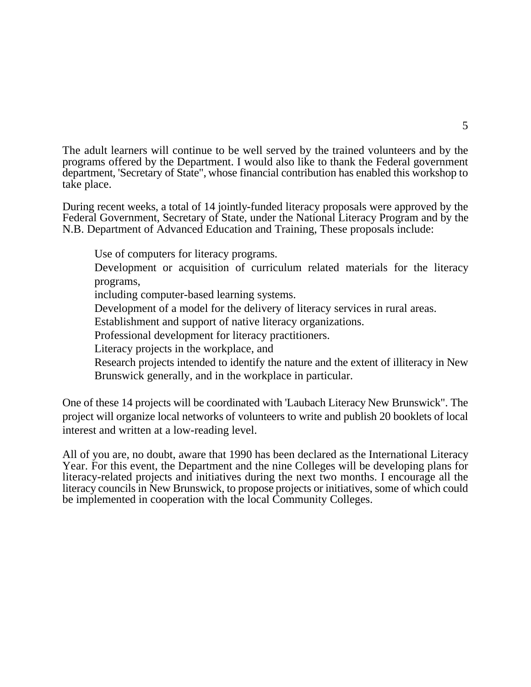The adult learners will continue to be well served by the trained volunteers and by the programs offered by the Department. I would also like to thank the Federal government department, 'Secretary of State", whose financial contribution has enabled this workshop to take place.

During recent weeks, a total of 14 jointly-funded literacy proposals were approved by the Federal Government, Secretary of State, under the National Literacy Program and by the N.B. Department of Advanced Education and Training, These proposals include:

Use of computers for literacy programs.

Development or acquisition of curriculum related materials for the literacy programs,

including computer-based learning systems.

Development of a model for the delivery of literacy services in rural areas.

Establishment and support of native literacy organizations.

Professional development for literacy practitioners.

Literacy projects in the workplace, and

Research projects intended to identify the nature and the extent of illiteracy in New Brunswick generally, and in the workplace in particular.

One of these 14 projects will be coordinated with 'Laubach Literacy New Brunswick". The project will organize local networks of volunteers to write and publish 20 booklets of local interest and written at a low-reading level.

All of you are, no doubt, aware that 1990 has been declared as the International Literacy Year. For this event, the Department and the nine Colleges will be developing plans for literacy-related projects and initiatives during the next two months. I encourage all the literacy councils in New Brunswick, to propose projects or initiatives, some of which could be implemented in cooperation with the local Community Colleges.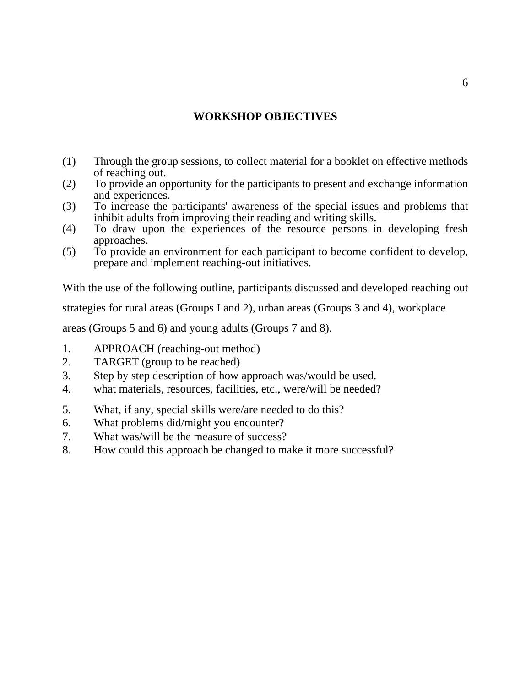### **WORKSHOP OBJECTIVES**

- <span id="page-7-0"></span>(1) Through the group sessions, to collect material for a booklet on effective methods of reaching out.
- (2) To provide an opportunity for the participants to present and exchange information and experiences.
- (3) To increase the participants' awareness of the special issues and problems that inhibit adults from improving their reading and writing skills.
- (4) To draw upon the experiences of the resource persons in developing fresh approaches.
- (5) To provide an environment for each participant to become confident to develop, prepare and implement reaching-out initiatives.

With the use of the following outline, participants discussed and developed reaching out

strategies for rural areas (Groups I and 2), urban areas (Groups 3 and 4), workplace

areas (Groups 5 and 6) and young adults (Groups 7 and 8).

- 1. APPROACH (reaching-out method)
- 2. TARGET (group to be reached)
- 3. Step by step description of how approach was/would be used.
- 4. what materials, resources, facilities, etc., were/will be needed?
- 5. What, if any, special skills were/are needed to do this?
- 6. What problems did/might you encounter?
- 7. What was/will be the measure of success?
- 8. How could this approach be changed to make it more successful?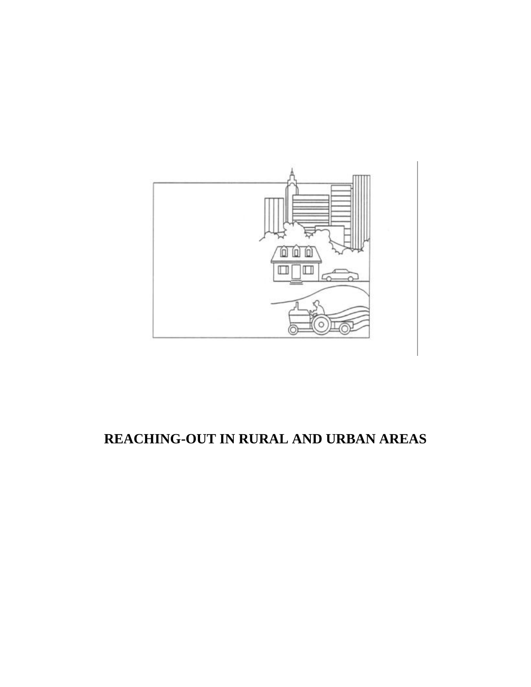<span id="page-8-0"></span>

## **REACHING-OUT IN RURAL AND URBAN AREAS**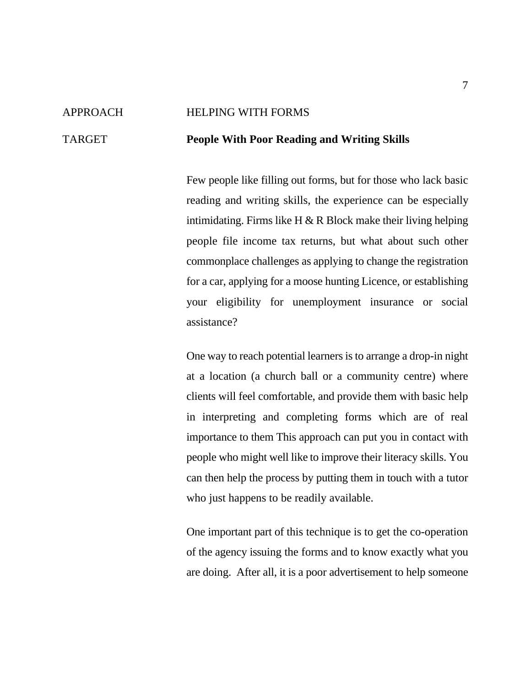#### APPROACH HELPING WITH FORMS

#### TARGET **People With Poor Reading and Writing Skills**

Few people like filling out forms, but for those who lack basic reading and writing skills, the experience can be especially intimidating. Firms like H  $\&$  R Block make their living helping people file income tax returns, but what about such other commonplace challenges as applying to change the registration for a car, applying for a moose hunting Licence, or establishing your eligibility for unemployment insurance or social assistance?

One way to reach potential learners isto arrange a drop-in night at a location (a church ball or a community centre) where clients will feel comfortable, and provide them with basic help in interpreting and completing forms which are of real importance to them This approach can put you in contact with people who might well like to improve their literacy skills. You can then help the process by putting them in touch with a tutor who just happens to be readily available.

One important part of this technique is to get the co-operation of the agency issuing the forms and to know exactly what you are doing. After all, it is a poor advertisement to help someone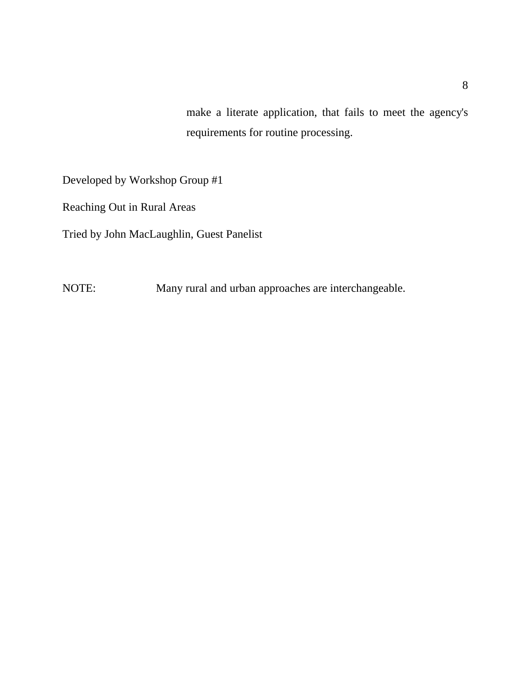make a literate application, that fails to meet the agency's requirements for routine processing.

Developed by Workshop Group #1

Reaching Out in Rural Areas

Tried by John MacLaughlin, Guest Panelist

NOTE: Many rural and urban approaches are interchangeable.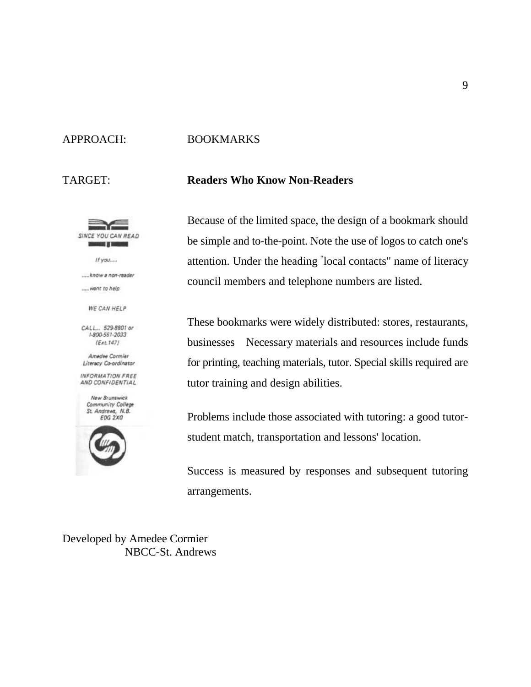

### APPROACH: BOOKMARKS

#### TARGET: **Readers Who Know Non-Readers**

Because of the limited space, the design of a bookmark should be simple and to-the-point. Note the use of logos to catch one's attention. Under the heading "local contacts" name of literacy council members and telephone numbers are listed.

These bookmarks were widely distributed: stores, restaurants, businesses Necessary materials and resources include funds for printing, teaching materials, tutor. Special skills required are tutor training and design abilities.

Problems include those associated with tutoring: a good tutorstudent match, transportation and lessons' location.

Success is measured by responses and subsequent tutoring arrangements.

Developed by Amedee Cormier NBCC-St. Andrews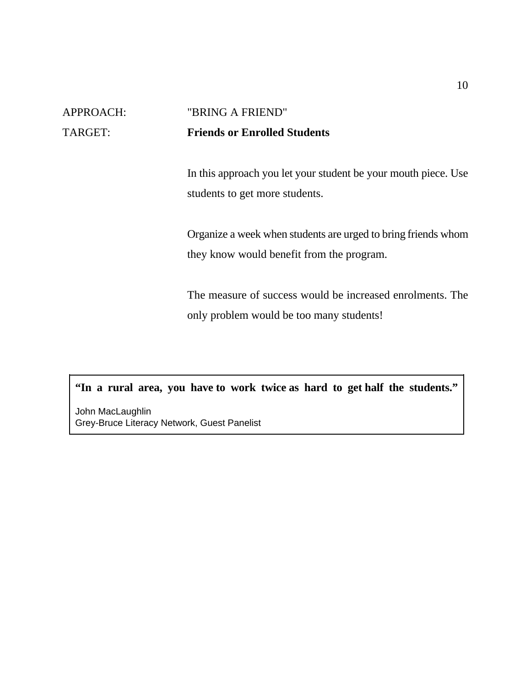## APPROACH: "BRING A FRIEND" TARGET: **Friends or Enrolled Students**

In this approach you let your student be your mouth piece. Use students to get more students.

Organize a week when students are urged to bring friends whom they know would benefit from the program.

The measure of success would be increased enrolments. The only problem would be too many students!

**"In a rural area, you have to work twice as hard to get half the students."**

John MacLaughlin Grey-Bruce Literacy Network, Guest Panelist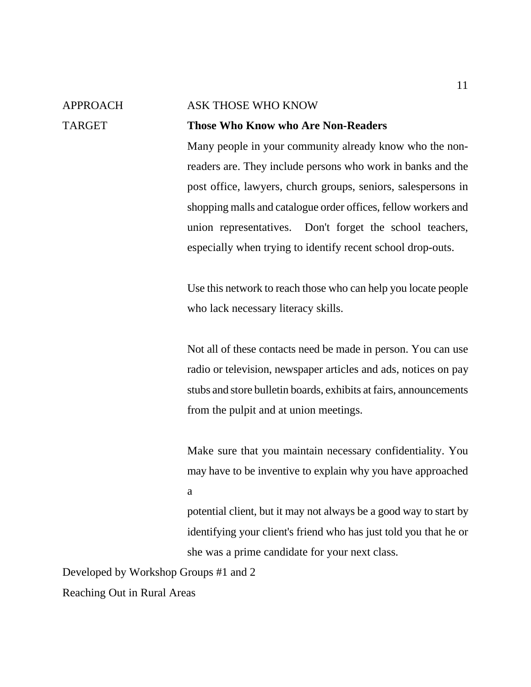## APPROACH ASK THOSE WHO KNOW TARGET **Those Who Know who Are Non-Readers**

Many people in your community already know who the nonreaders are. They include persons who work in banks and the post office, lawyers, church groups, seniors, salespersons in shopping malls and catalogue order offices, fellow workers and union representatives. Don't forget the school teachers, especially when trying to identify recent school drop-outs.

Use this network to reach those who can help you locate people who lack necessary literacy skills.

Not all of these contacts need be made in person. You can use radio or television, newspaper articles and ads, notices on pay stubs and store bulletin boards, exhibits at fairs, announcements from the pulpit and at union meetings.

Make sure that you maintain necessary confidentiality. You may have to be inventive to explain why you have approached a

potential client, but it may not always be a good way to start by identifying your client's friend who has just told you that he or she was a prime candidate for your next class.

Developed by Workshop Groups #1 and 2

Reaching Out in Rural Areas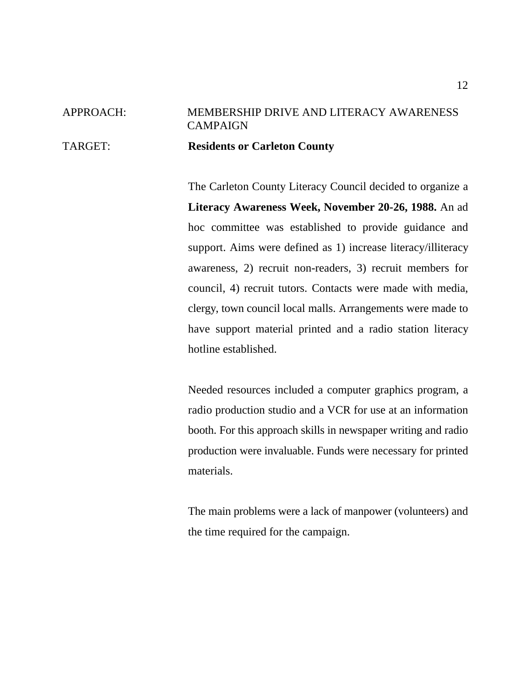## APPROACH: MEMBERSHIP DRIVE AND LITERACY AWARENESS **CAMPAIGN** TARGET: **Residents or Carleton County**

The Carleton County Literacy Council decided to organize a **Literacy Awareness Week, November 20-26, 1988.** An ad hoc committee was established to provide guidance and support. Aims were defined as 1) increase literacy/illiteracy awareness, 2) recruit non-readers, 3) recruit members for council, 4) recruit tutors. Contacts were made with media, clergy, town council local malls. Arrangements were made to have support material printed and a radio station literacy hotline established.

Needed resources included a computer graphics program, a radio production studio and a VCR for use at an information booth. For this approach skills in newspaper writing and radio production were invaluable. Funds were necessary for printed materials.

The main problems were a lack of manpower (volunteers) and the time required for the campaign.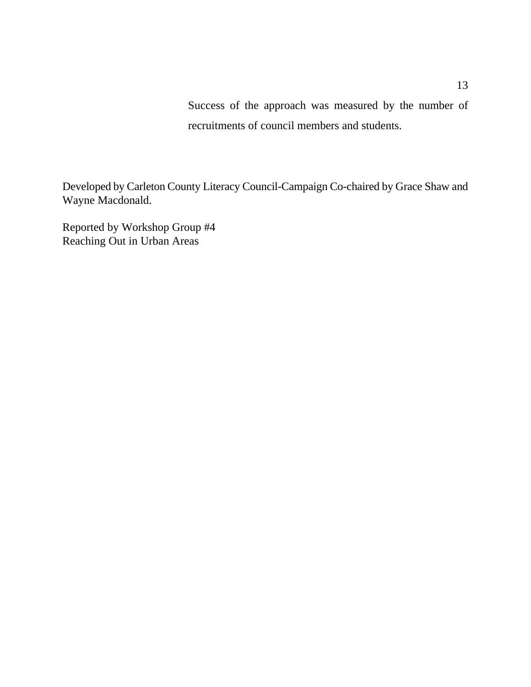Success of the approach was measured by the number of recruitments of council members and students.

Developed by Carleton County Literacy Council-Campaign Co-chaired by Grace Shaw and Wayne Macdonald.

Reported by Workshop Group #4 Reaching Out in Urban Areas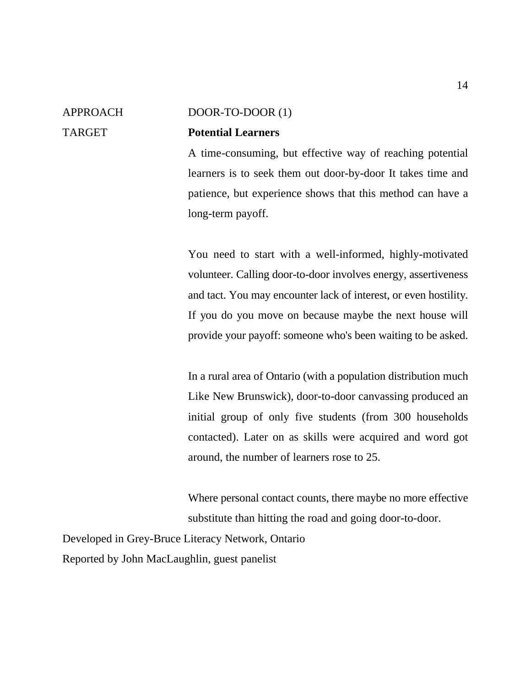#### 14

#### APPROACH DOOR-TO-DOOR (1)

### TARGET **Potential Learners**

A time-consuming, but effective way of reaching potential learners is to seek them out door-by-door It takes time and patience, but experience shows that this method can have a long-term payoff.

You need to start with a well-informed, highly-motivated volunteer. Calling door-to-door involves energy, assertiveness and tact. You may encounter lack of interest, or even hostility. If you do you move on because maybe the next house will provide your payoff: someone who's been waiting to be asked.

In a rural area of Ontario (with a population distribution much Like New Brunswick), door-to-door canvassing produced an initial group of only five students (from 300 households contacted). Later on as skills were acquired and word got around, the number of learners rose to 25.

Where personal contact counts, there maybe no more effective substitute than hitting the road and going door-to-door.

Developed in Grey-Bruce Literacy Network, Ontario Reported by John MacLaughlin, guest panelist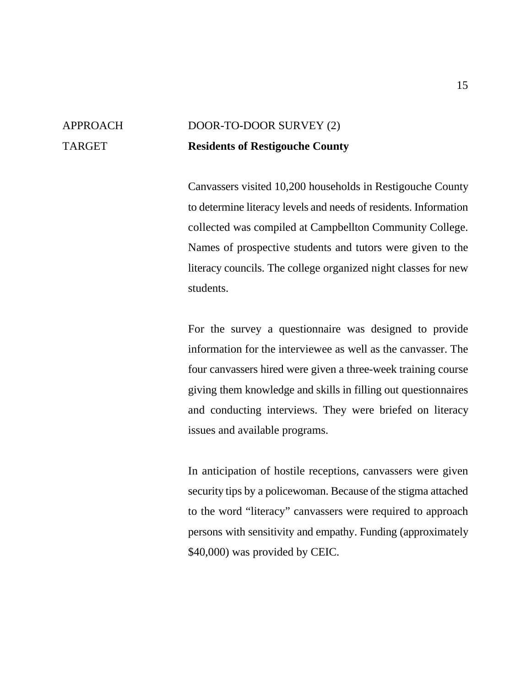## APPROACH DOOR-TO-DOOR SURVEY (2) TARGET **Residents of Restigouche County**

Canvassers visited 10,200 households in Restigouche County to determine literacy levels and needs of residents. Information collected was compiled at Campbellton Community College. Names of prospective students and tutors were given to the literacy councils. The college organized night classes for new students.

For the survey a questionnaire was designed to provide information for the interviewee as well as the canvasser. The four canvassers hired were given a three-week training course giving them knowledge and skills in filling out questionnaires and conducting interviews. They were briefed on literacy issues and available programs.

In anticipation of hostile receptions, canvassers were given security tips by a policewoman. Because of the stigma attached to the word "literacy" canvassers were required to approach persons with sensitivity and empathy. Funding (approximately \$40,000) was provided by CEIC.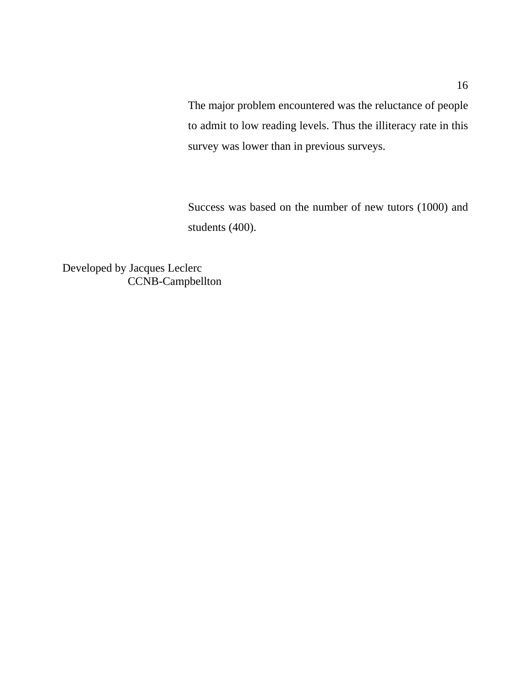The major problem encountered was the reluctance of people to admit to low reading levels. Thus the illiteracy rate in this survey was lower than in previous surveys.

Success was based on the number of new tutors (1000) and students (400).

Developed by Jacques Leclerc CCNB-Campbellton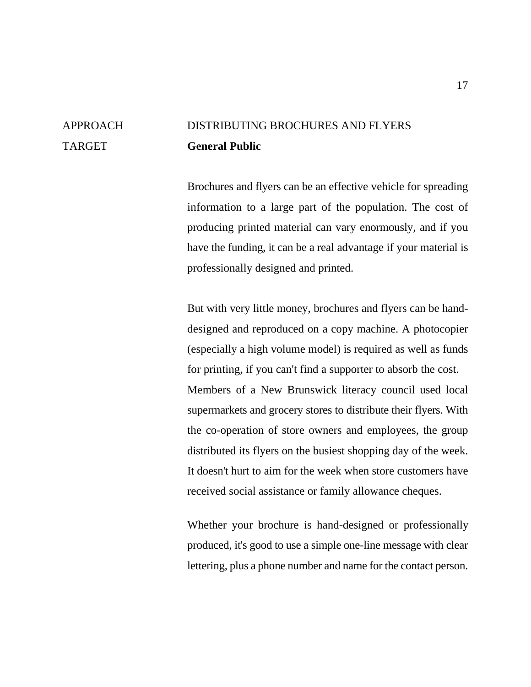## APPROACH DISTRIBUTING BROCHURES AND FLYERS TARGET **General Public**

Brochures and flyers can be an effective vehicle for spreading information to a large part of the population. The cost of producing printed material can vary enormously, and if you have the funding, it can be a real advantage if your material is professionally designed and printed.

But with very little money, brochures and flyers can be handdesigned and reproduced on a copy machine. A photocopier (especially a high volume model) is required as well as funds for printing, if you can't find a supporter to absorb the cost. Members of a New Brunswick literacy council used local supermarkets and grocery stores to distribute their flyers. With the co-operation of store owners and employees, the group distributed its flyers on the busiest shopping day of the week. It doesn't hurt to aim for the week when store customers have received social assistance or family allowance cheques.

Whether your brochure is hand-designed or professionally produced, it's good to use a simple one-line message with clear lettering, plus a phone number and name for the contact person.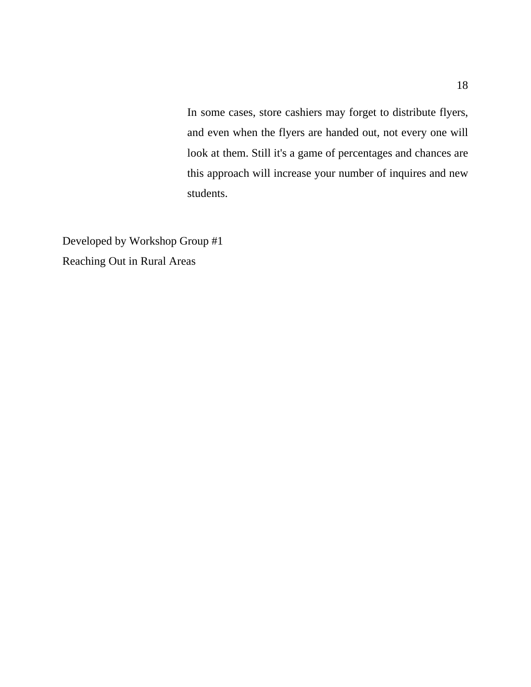In some cases, store cashiers may forget to distribute flyers, and even when the flyers are handed out, not every one will look at them. Still it's a game of percentages and chances are this approach will increase your number of inquires and new students.

Developed by Workshop Group #1 Reaching Out in Rural Areas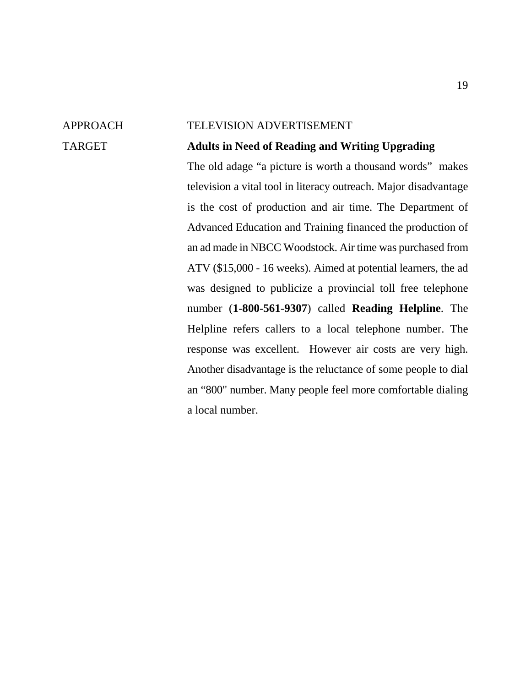#### APPROACH TELEVISION ADVERTISEMENT

### TARGET **Adults in Need of Reading and Writing Upgrading**

The old adage "a picture is worth a thousand words" makes television a vital tool in literacy outreach. Major disadvantage is the cost of production and air time. The Department of Advanced Education and Training financed the production of an ad made in NBCC Woodstock. Air time was purchased from ATV (\$15,000 - 16 weeks). Aimed at potential learners, the ad was designed to publicize a provincial toll free telephone number (**1-800-561-9307**) called **Reading Helpline**. The Helpline refers callers to a local telephone number. The response was excellent. However air costs are very high. Another disadvantage is the reluctance of some people to dial an "800" number. Many people feel more comfortable dialing a local number.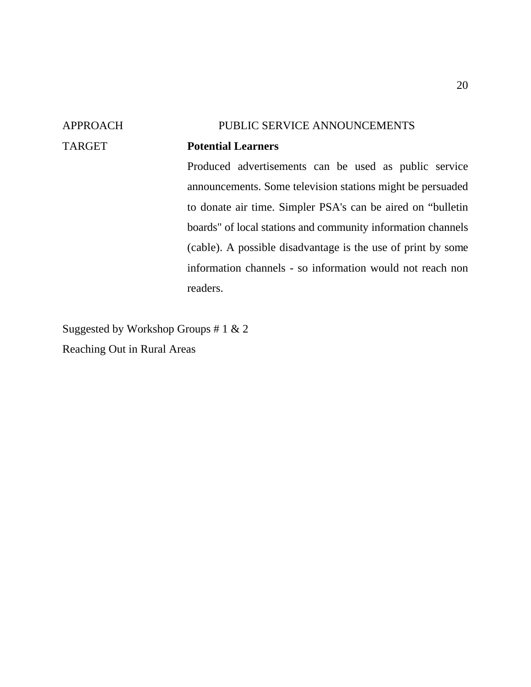## APPROACH PUBLIC SERVICE ANNOUNCEMENTS TARGET **Potential Learners** Produced advertisements can be used as public service announcements. Some television stations might be persuaded to donate air time. Simpler PSA's can be aired on "bulletin boards" of local stations and community information channels (cable). A possible disadvantage is the use of print by some information channels - so information would not reach non

readers.

Suggested by Workshop Groups # 1 & 2 Reaching Out in Rural Areas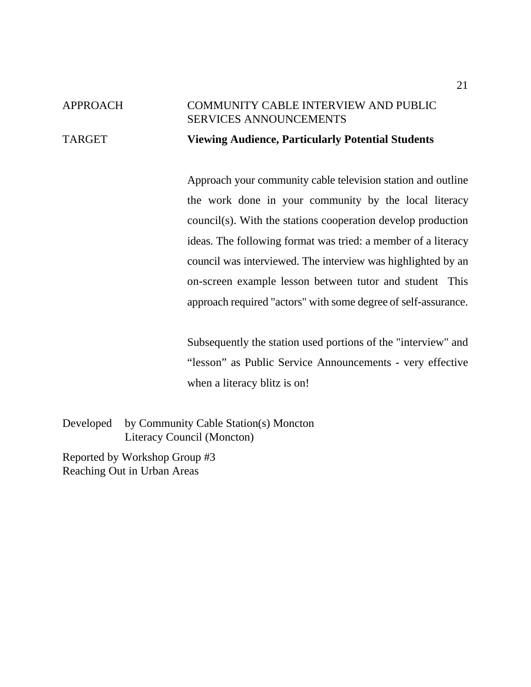## APPROACH COMMUNITY CABLE INTERVIEW AND PUBLIC SERVICES ANNOUNCEMENTS TARGET **Viewing Audience, Particularly Potential Students**

Approach your community cable television station and outline the work done in your community by the local literacy council(s). With the stations cooperation develop production ideas. The following format was tried: a member of a literacy council was interviewed. The interview was highlighted by an on-screen example lesson between tutor and student This approach required "actors" with some degree of self-assurance.

Subsequently the station used portions of the "interview" and "lesson" as Public Service Announcements - very effective when a literacy blitz is on!

Developed by Community Cable Station(s) Moncton Literacy Council (Moncton)

Reported by Workshop Group #3 Reaching Out in Urban Areas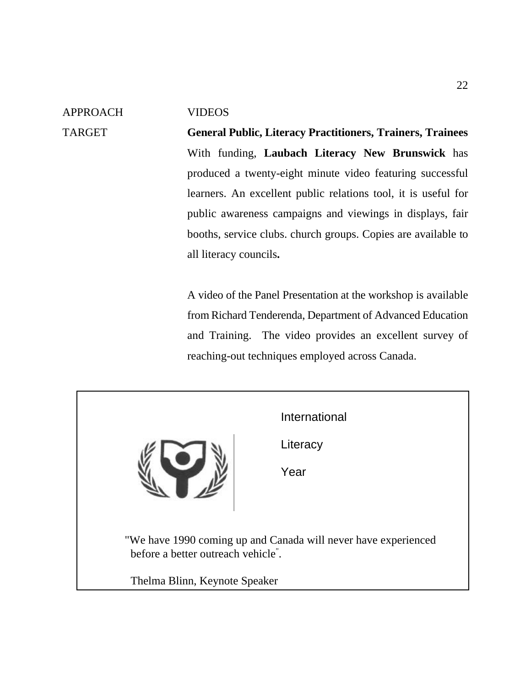APPROACH VIDEOS

TARGET **General Public, Literacy Practitioners, Trainers, Trainees** With funding, **Laubach Literacy New Brunswick** has produced a twenty-eight minute video featuring successful learners. An excellent public relations tool, it is useful for public awareness campaigns and viewings in displays, fair booths, service clubs. church groups. Copies are available to all literacy councils**.**

> A video of the Panel Presentation at the workshop is available from Richard Tenderenda, Department of Advanced Education and Training. The video provides an excellent survey of reaching-out techniques employed across Canada.

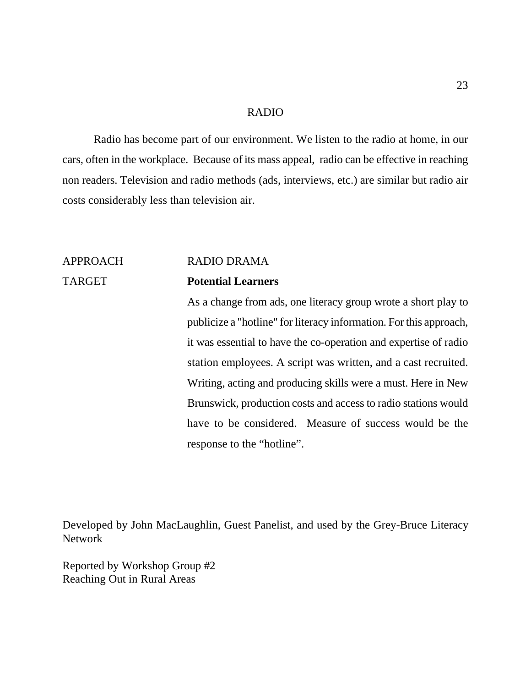#### RADIO

Radio has become part of our environment. We listen to the radio at home, in our cars, often in the workplace. Because of its mass appeal, radio can be effective in reaching non readers. Television and radio methods (ads, interviews, etc.) are similar but radio air costs considerably less than television air.

## APPROACH RADIO DRAMA

### TARGET **Potential Learners**

As a change from ads, one literacy group wrote a short play to publicize a "hotline" for literacy information. For this approach, it was essential to have the co-operation and expertise of radio station employees. A script was written, and a cast recruited. Writing, acting and producing skills were a must. Here in New Brunswick, production costs and access to radio stations would have to be considered. Measure of success would be the response to the "hotline".

Developed by John MacLaughlin, Guest Panelist, and used by the Grey-Bruce Literacy Network

Reported by Workshop Group #2 Reaching Out in Rural Areas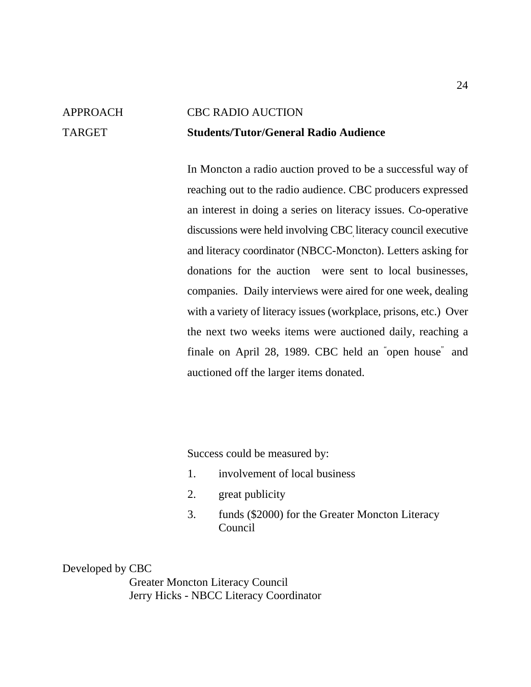## APPROACH CBC RADIO AUCTION TARGET **Students/Tutor/General Radio Audience**

In Moncton a radio auction proved to be a successful way of reaching out to the radio audience. CBC producers expressed an interest in doing a series on literacy issues. Co-operative discussions were held involving CBC literacy council executive and literacy coordinator (NBCC-Moncton). Letters asking for donations for the auction were sent to local businesses, companies. Daily interviews were aired for one week, dealing with a variety of literacy issues (workplace, prisons, etc.) Over the next two weeks items were auctioned daily, reaching a finale on April 28, 1989. CBC held an "open house" and auctioned off the larger items donated.

Success could be measured by:

- 1. involvement of local business
- 2. great publicity
- 3. funds (\$2000) for the Greater Moncton Literacy Council

Developed by CBC

Greater Moncton Literacy Council Jerry Hicks - NBCC Literacy Coordinator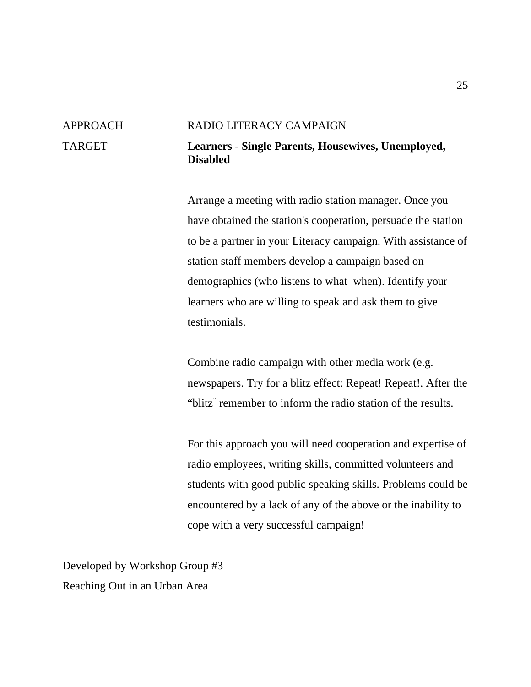## APPROACH RADIO LITERACY CAMPAIGN TARGET **Learners - Single Parents, Housewives, Unemployed, Disabled**

Arrange a meeting with radio station manager. Once you have obtained the station's cooperation, persuade the station to be a partner in your Literacy campaign. With assistance of station staff members develop a campaign based on demographics (who listens to what when). Identify your learners who are willing to speak and ask them to give testimonials.

Combine radio campaign with other media work (e.g. newspapers. Try for a blitz effect: Repeat! Repeat!. After the "blitz" remember to inform the radio station of the results.

For this approach you will need cooperation and expertise of radio employees, writing skills, committed volunteers and students with good public speaking skills. Problems could be encountered by a lack of any of the above or the inability to cope with a very successful campaign!

Developed by Workshop Group #3 Reaching Out in an Urban Area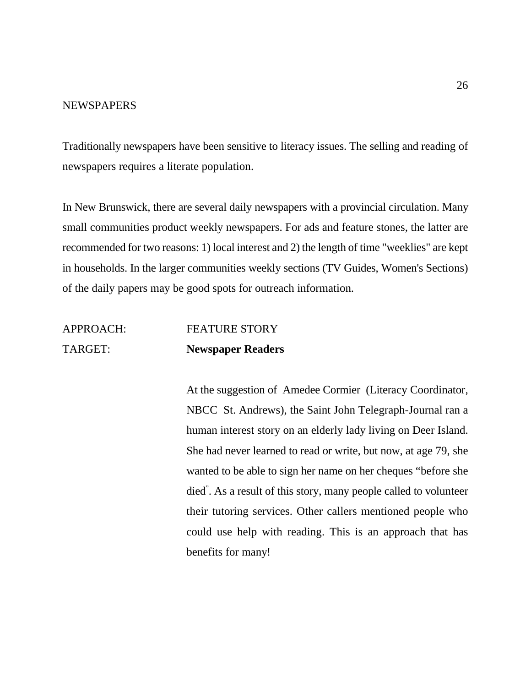#### **NEWSPAPERS**

Traditionally newspapers have been sensitive to literacy issues. The selling and reading of newspapers requires a literate population.

In New Brunswick, there are several daily newspapers with a provincial circulation. Many small communities product weekly newspapers. For ads and feature stones, the latter are recommended for two reasons: 1) local interest and 2) the length of time "weeklies" are kept in households. In the larger communities weekly sections (TV Guides, Women's Sections) of the daily papers may be good spots for outreach information.

## APPROACH: FEATURE STORY TARGET: **Newspaper Readers**

At the suggestion of Amedee Cormier (Literacy Coordinator, NBCC St. Andrews), the Saint John Telegraph-Journal ran a human interest story on an elderly lady living on Deer Island. She had never learned to read or write, but now, at age 79, she wanted to be able to sign her name on her cheques "before she died". As a result of this story, many people called to volunteer their tutoring services. Other callers mentioned people who could use help with reading. This is an approach that has benefits for many!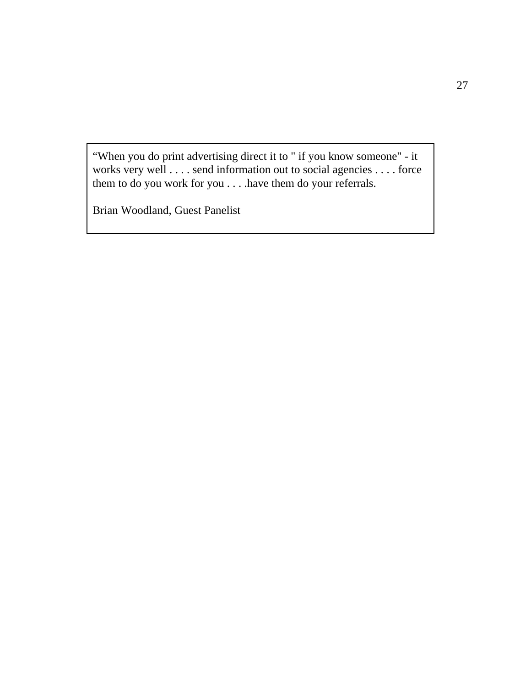"When you do print advertising direct it to " if you know someone" - it works very well . . . . send information out to social agencies . . . . force them to do you work for you . . . .have them do your referrals.

Brian Woodland, Guest Panelist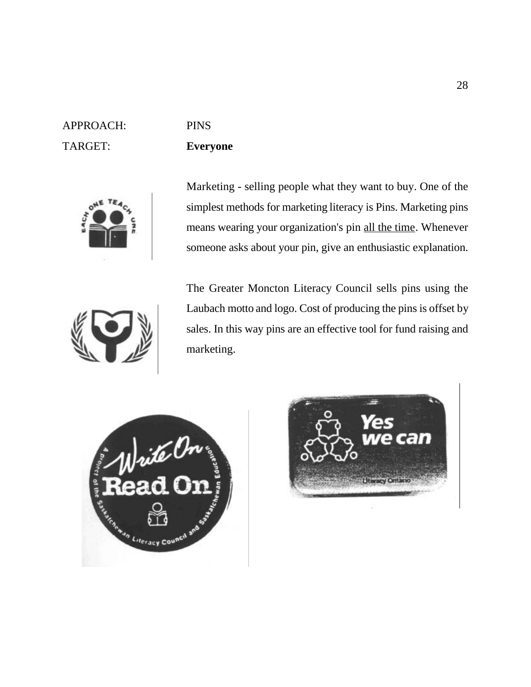## APPROACH: PINS TARGET: **Everyone**



Marketing - selling people what they want to buy. One of the simplest methods for marketing literacy is Pins. Marketing pins means wearing your organization's pin all the time. Whenever someone asks about your pin, give an enthusiastic explanation.



The Greater Moncton Literacy Council sells pins using the Laubach motto and logo. Cost of producing the pins is offset by sales. In this way pins are an effective tool for fund raising and marketing.



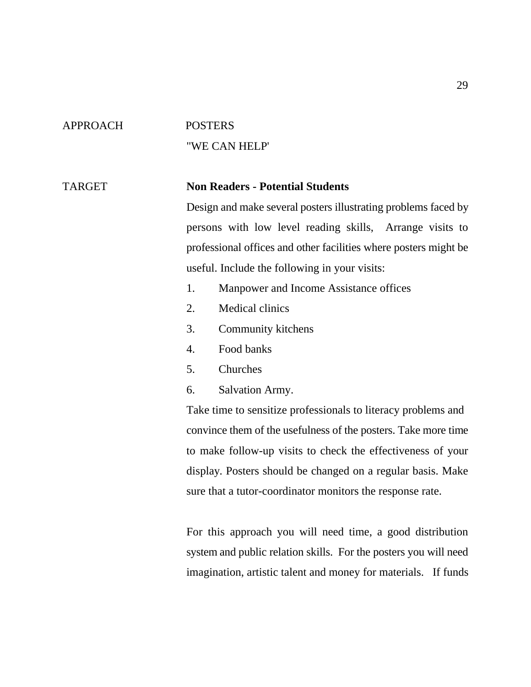### APPROACH POSTERS

# "WE CAN HELP'

### TARGET **Non Readers - Potential Students**

Design and make several posters illustrating problems faced by persons with low level reading skills, Arrange visits to professional offices and other facilities where posters might be useful. Include the following in your visits:

- 1. Manpower and Income Assistance offices
- 2. Medical clinics
- 3. Community kitchens
- 4. Food banks
- 5. Churches
- 6. Salvation Army.

Take time to sensitize professionals to literacy problems and convince them of the usefulness of the posters. Take more time to make follow-up visits to check the effectiveness of your display. Posters should be changed on a regular basis. Make sure that a tutor-coordinator monitors the response rate.

For this approach you will need time, a good distribution system and public relation skills. For the posters you will need imagination, artistic talent and money for materials. If funds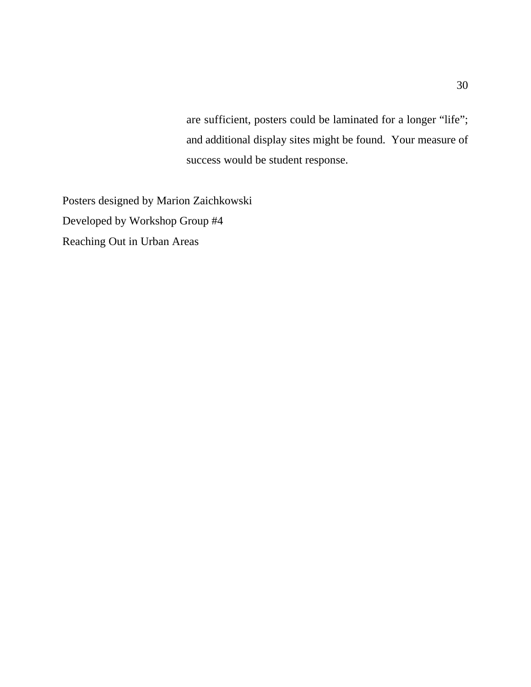are sufficient, posters could be laminated for a longer "life"; and additional display sites might be found. Your measure of success would be student response.

Posters designed by Marion Zaichkowski Developed by Workshop Group #4 Reaching Out in Urban Areas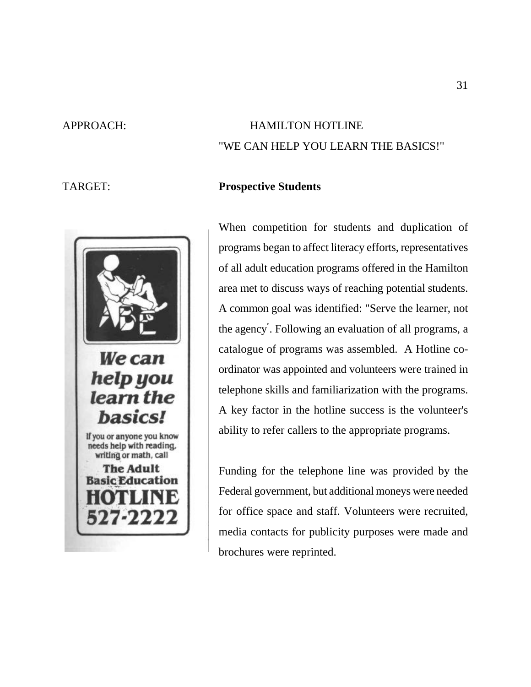

## APPROACH: HAMILTON HOTLINE "WE CAN HELP YOU LEARN THE BASICS!"

### TARGET: **Prospective Students**

When competition for students and duplication of programs began to affect literacy efforts, representatives of all adult education programs offered in the Hamilton area met to discuss ways of reaching potential students. A common goal was identified: "Serve the learner, not the agency". Following an evaluation of all programs, a catalogue of programs was assembled. A Hotline coordinator was appointed and volunteers were trained in telephone skills and familiarization with the programs. A key factor in the hotline success is the volunteer's ability to refer callers to the appropriate programs.

Funding for the telephone line was provided by the Federal government, but additional moneys were needed for office space and staff. Volunteers were recruited, media contacts for publicity purposes were made and brochures were reprinted.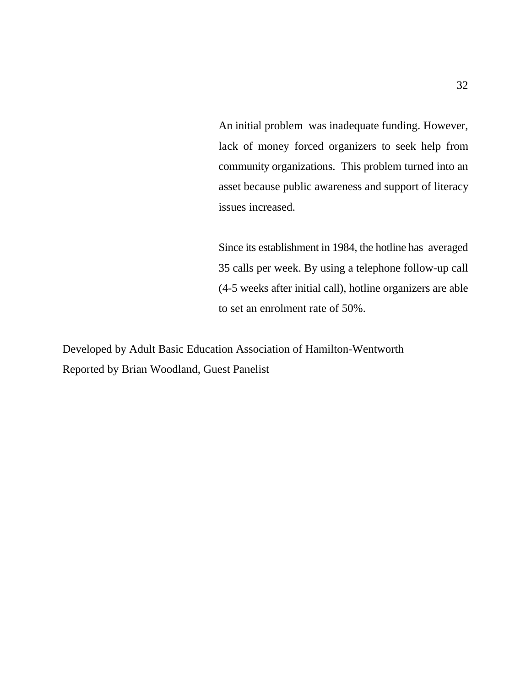An initial problem was inadequate funding. However, lack of money forced organizers to seek help from community organizations. This problem turned into an asset because public awareness and support of literacy issues increased.

Since its establishment in 1984, the hotline has averaged 35 calls per week. By using a telephone follow-up call (4-5 weeks after initial call), hotline organizers are able to set an enrolment rate of 50%.

Developed by Adult Basic Education Association of Hamilton-Wentworth Reported by Brian Woodland, Guest Panelist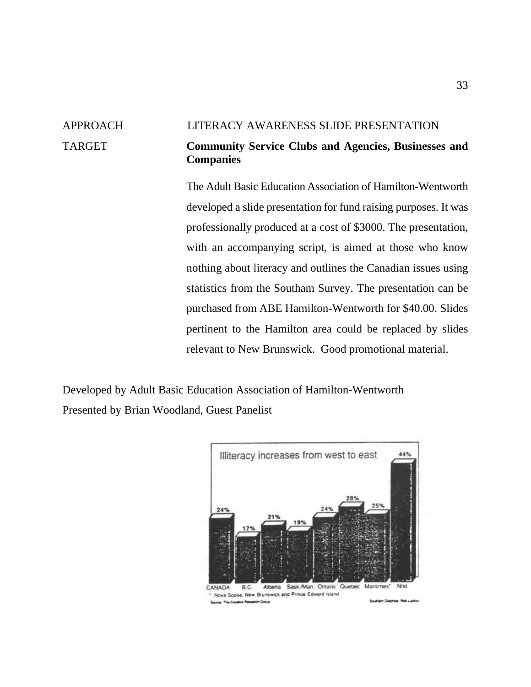## APPROACH LITERACY AWARENESS SLIDE PRESENTATION TARGET **Community Service Clubs and Agencies, Businesses and Companies**

The Adult Basic Education Association of Hamilton-Wentworth developed a slide presentation for fund raising purposes. It was professionally produced at a cost of \$3000. The presentation, with an accompanying script, is aimed at those who know nothing about literacy and outlines the Canadian issues using statistics from the Southam Survey. The presentation can be purchased from ABE Hamilton-Wentworth for \$40.00. Slides pertinent to the Hamilton area could be replaced by slides relevant to New Brunswick. Good promotional material.

Developed by Adult Basic Education Association of Hamilton-Wentworth Presented by Brian Woodland, Guest Panelist

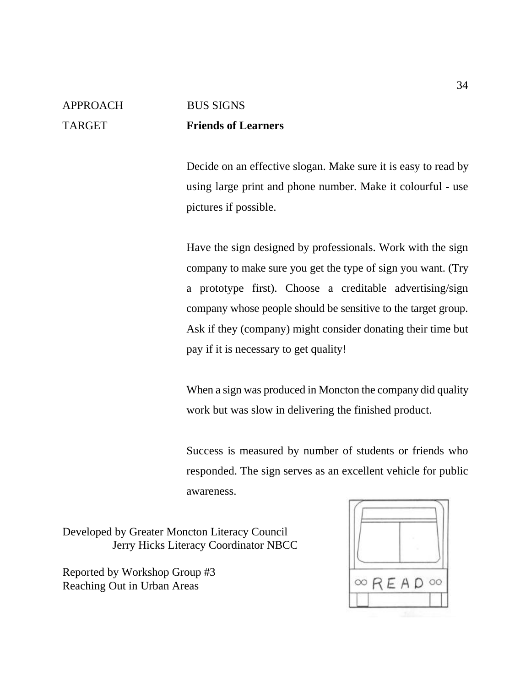## APPROACH BUS SIGNS TARGET **Friends of Learners**

Decide on an effective slogan. Make sure it is easy to read by using large print and phone number. Make it colourful - use pictures if possible.

Have the sign designed by professionals. Work with the sign company to make sure you get the type of sign you want. (Try a prototype first). Choose a creditable advertising/sign company whose people should be sensitive to the target group. Ask if they (company) might consider donating their time but pay if it is necessary to get quality!

When a sign was produced in Moncton the company did quality work but was slow in delivering the finished product.

Success is measured by number of students or friends who responded. The sign serves as an excellent vehicle for public awareness.

Developed by Greater Moncton Literacy Council Jerry Hicks Literacy Coordinator NBCC

Reported by Workshop Group #3 Reaching Out in Urban Areas

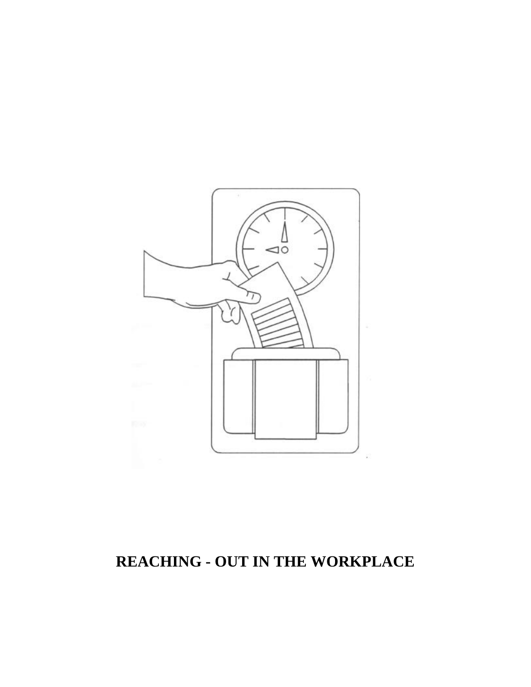

# **REACHING - OUT IN THE WORKPLACE**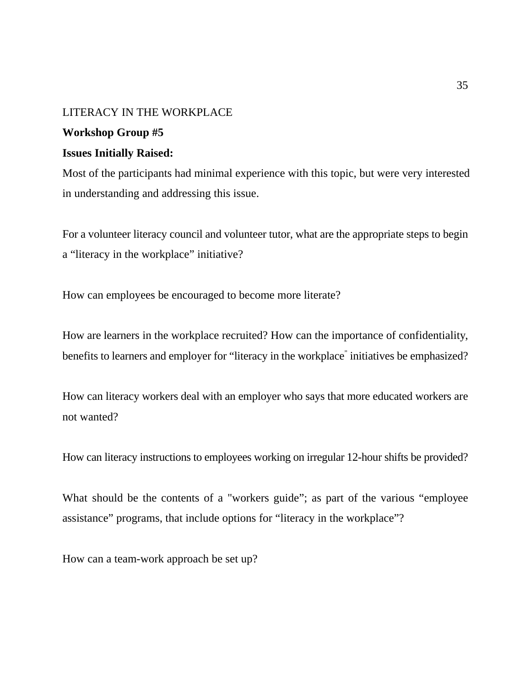#### LITERACY IN THE WORKPLACE

#### **Workshop Group #5**

## **Issues Initially Raised:**

Most of the participants had minimal experience with this topic, but were very interested in understanding and addressing this issue.

For a volunteer literacy council and volunteer tutor, what are the appropriate steps to begin a "literacy in the workplace" initiative?

How can employees be encouraged to become more literate?

How are learners in the workplace recruited? How can the importance of confidentiality, benefits to learners and employer for "literacy in the workplace" initiatives be emphasized?

How can literacy workers deal with an employer who says that more educated workers are not wanted?

How can literacy instructions to employees working on irregular 12-hour shifts be provided?

What should be the contents of a "workers guide"; as part of the various "employee" assistance" programs, that include options for "literacy in the workplace"?

How can a team-work approach be set up?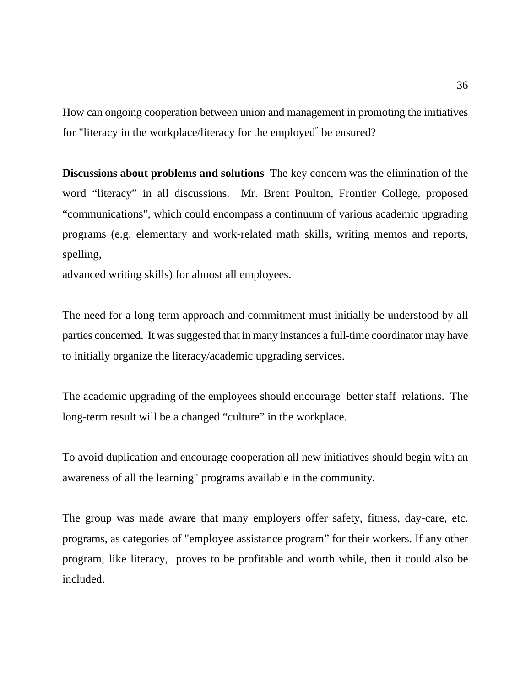How can ongoing cooperation between union and management in promoting the initiatives for "literacy in the workplace/literacy for the employed" be ensured?

**Discussions about problems and solutions** The key concern was the elimination of the word "literacy" in all discussions. Mr. Brent Poulton, Frontier College, proposed "communications", which could encompass a continuum of various academic upgrading programs (e.g. elementary and work-related math skills, writing memos and reports, spelling,

advanced writing skills) for almost all employees.

The need for a long-term approach and commitment must initially be understood by all parties concerned. It was suggested that in many instances a full-time coordinator may have to initially organize the literacy/academic upgrading services.

The academic upgrading of the employees should encourage better staff relations. The long-term result will be a changed "culture" in the workplace.

To avoid duplication and encourage cooperation all new initiatives should begin with an awareness of all the learning" programs available in the community.

The group was made aware that many employers offer safety, fitness, day-care, etc. programs, as categories of "employee assistance program" for their workers. If any other program, like literacy, proves to be profitable and worth while, then it could also be included.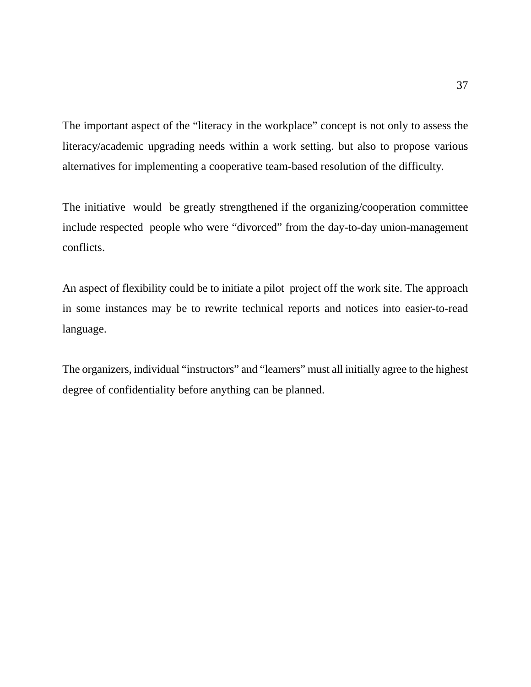The important aspect of the "literacy in the workplace" concept is not only to assess the literacy/academic upgrading needs within a work setting. but also to propose various alternatives for implementing a cooperative team-based resolution of the difficulty.

The initiative would be greatly strengthened if the organizing/cooperation committee include respected people who were "divorced" from the day-to-day union-management conflicts.

An aspect of flexibility could be to initiate a pilot project off the work site. The approach in some instances may be to rewrite technical reports and notices into easier-to-read language.

The organizers, individual "instructors" and "learners" must all initially agree to the highest degree of confidentiality before anything can be planned.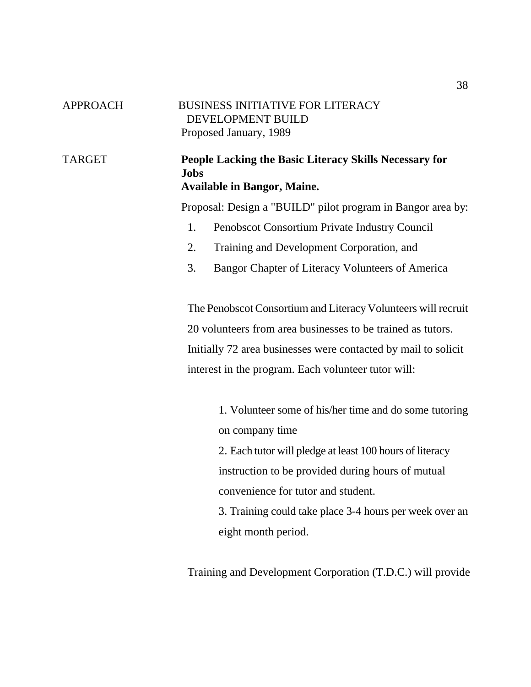| <b>APPROACH</b> | <b>BUSINESS INITIATIVE FOR LITERACY</b><br>DEVELOPMENT BUILD<br>Proposed January, 1989                      |
|-----------------|-------------------------------------------------------------------------------------------------------------|
| <b>TARGET</b>   | People Lacking the Basic Literacy Skills Necessary for<br><b>Jobs</b><br><b>Available in Bangor, Maine.</b> |
|                 | Proposal: Design a "BUILD" pilot program in Bangor area by:                                                 |
|                 | 1.<br>Penobscot Consortium Private Industry Council                                                         |
|                 | 2.<br>Training and Development Corporation, and                                                             |
|                 | 3.<br>Bangor Chapter of Literacy Volunteers of America                                                      |
|                 | The Penobscot Consortium and Literacy Volunteers will recruit                                               |
|                 | 20 volunteers from area businesses to be trained as tutors.                                                 |
|                 | Initially 72 area businesses were contacted by mail to solicit                                              |
|                 | interest in the program. Each volunteer tutor will:                                                         |
|                 | 1. Volunteer some of his/her time and do some tutoring<br>on company time                                   |
|                 | 2. Each tutor will pledge at least 100 hours of literacy                                                    |
|                 | instruction to be provided during hours of mutual                                                           |
|                 | convenience for tutor and student.                                                                          |
|                 | 3. Training could take place 3-4 hours per week over an                                                     |
|                 | eight month period.                                                                                         |
|                 |                                                                                                             |

Training and Development Corporation (T.D.C.) will provide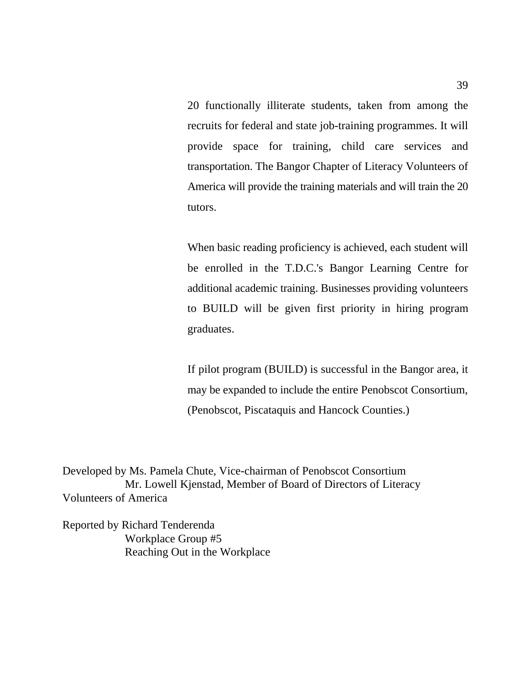20 functionally illiterate students, taken from among the recruits for federal and state job-training programmes. It will provide space for training, child care services and transportation. The Bangor Chapter of Literacy Volunteers of America will provide the training materials and will train the 20 tutors.

When basic reading proficiency is achieved, each student will be enrolled in the T.D.C.'s Bangor Learning Centre for additional academic training. Businesses providing volunteers to BUILD will be given first priority in hiring program graduates.

If pilot program (BUILD) is successful in the Bangor area, it may be expanded to include the entire Penobscot Consortium, (Penobscot, Piscataquis and Hancock Counties.)

Developed by Ms. Pamela Chute, Vice-chairman of Penobscot Consortium Mr. Lowell Kjenstad, Member of Board of Directors of Literacy Volunteers of America

Reported by Richard Tenderenda Workplace Group #5 Reaching Out in the Workplace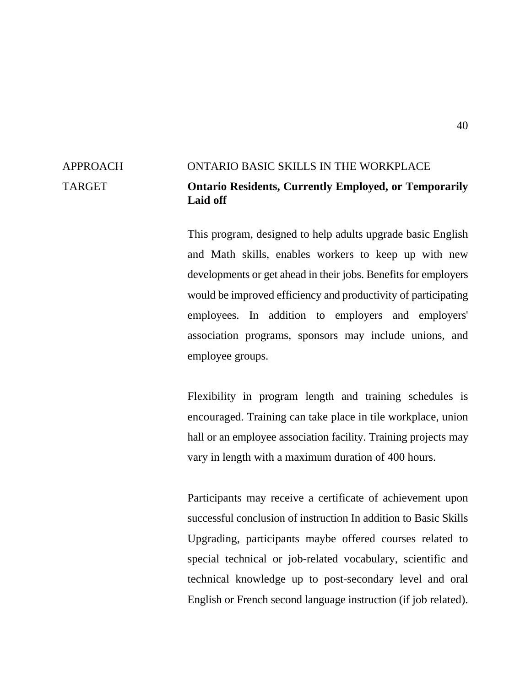## APPROACH ONTARIO BASIC SKILLS IN THE WORKPLACE TARGET **Ontario Residents, Currently Employed, or Temporarily Laid off**

This program, designed to help adults upgrade basic English and Math skills, enables workers to keep up with new developments or get ahead in their jobs. Benefits for employers would be improved efficiency and productivity of participating employees. In addition to employers and employers' association programs, sponsors may include unions, and employee groups.

Flexibility in program length and training schedules is encouraged. Training can take place in tile workplace, union hall or an employee association facility. Training projects may vary in length with a maximum duration of 400 hours.

Participants may receive a certificate of achievement upon successful conclusion of instruction In addition to Basic Skills Upgrading, participants maybe offered courses related to special technical or job-related vocabulary, scientific and technical knowledge up to post-secondary level and oral English or French second language instruction (if job related).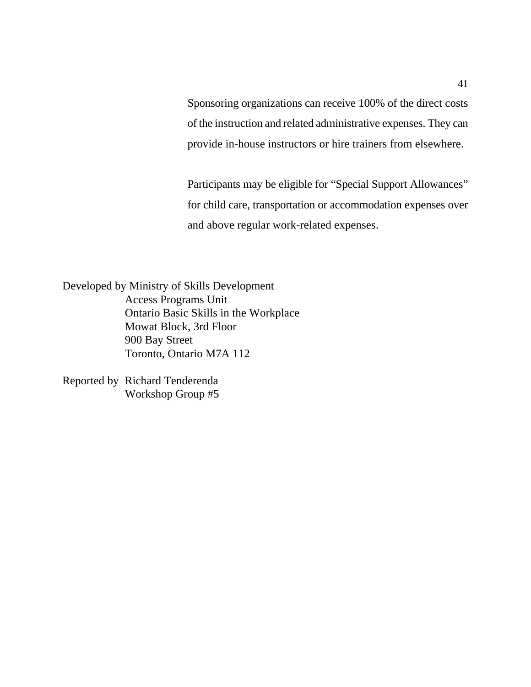Sponsoring organizations can receive 100% of the direct costs of the instruction and related administrative expenses. They can provide in-house instructors or hire trainers from elsewhere.

Participants may be eligible for "Special Support Allowances" for child care, transportation or accommodation expenses over and above regular work-related expenses.

Developed by Ministry of Skills Development Access Programs Unit Ontario Basic Skills in the Workplace Mowat Block, 3rd Floor 900 Bay Street Toronto, Ontario M7A 112

Reported by Richard Tenderenda Workshop Group #5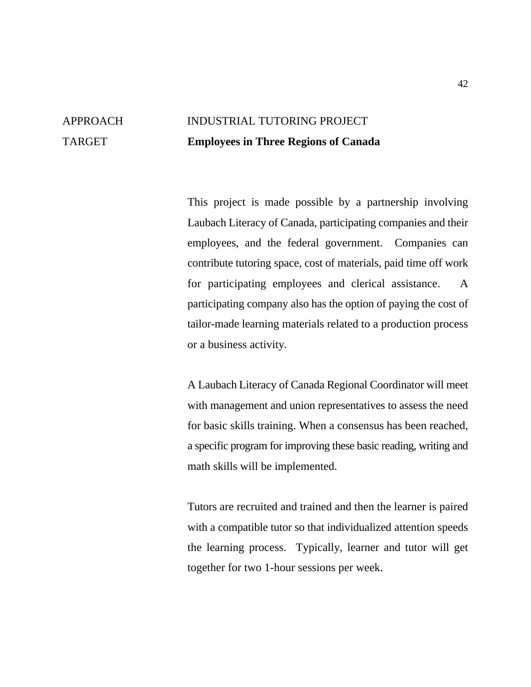# APPROACH INDUSTRIAL TUTORING PROJECT TARGET **Employees in Three Regions of Canada**

This project is made possible by a partnership involving Laubach Literacy of Canada, participating companies and their employees, and the federal government. Companies can contribute tutoring space, cost of materials, paid time off work for participating employees and clerical assistance. A participating company also has the option of paying the cost of tailor-made learning materials related to a production process or a business activity.

A Laubach Literacy of Canada Regional Coordinator will meet with management and union representatives to assess the need for basic skills training. When a consensus has been reached, a specific program for improving these basic reading, writing and math skills will be implemented.

Tutors are recruited and trained and then the learner is paired with a compatible tutor so that individualized attention speeds the learning process. Typically, learner and tutor will get together for two 1-hour sessions per week.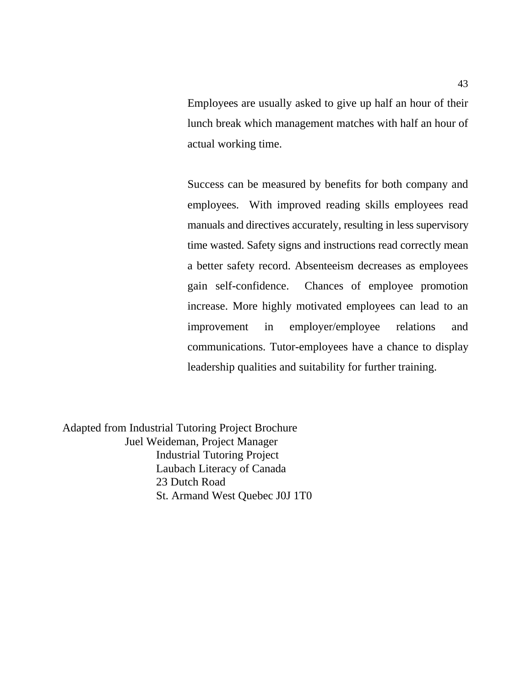Employees are usually asked to give up half an hour of their lunch break which management matches with half an hour of actual working time.

Success can be measured by benefits for both company and employees. With improved reading skills employees read manuals and directives accurately, resulting in less supervisory time wasted. Safety signs and instructions read correctly mean a better safety record. Absenteeism decreases as employees gain self-confidence. Chances of employee promotion increase. More highly motivated employees can lead to an improvement in employer/employee relations and communications. Tutor-employees have a chance to display leadership qualities and suitability for further training.

Adapted from Industrial Tutoring Project Brochure Juel Weideman, Project Manager Industrial Tutoring Project Laubach Literacy of Canada 23 Dutch Road St. Armand West Quebec J0J 1T0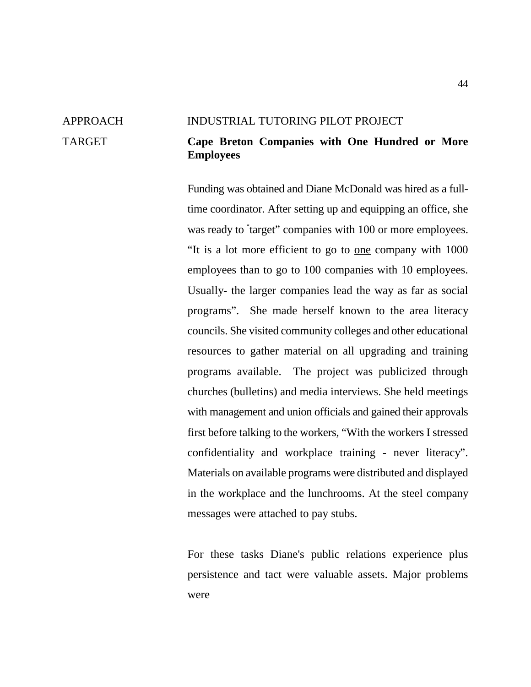#### APPROACH INDUSTRIAL TUTORING PILOT PROJECT

## TARGET **Cape Breton Companies with One Hundred or More Employees**

Funding was obtained and Diane McDonald was hired as a fulltime coordinator. After setting up and equipping an office, she was ready to "target" companies with 100 or more employees. "It is a lot more efficient to go to one company with 1000 employees than to go to 100 companies with 10 employees. Usually- the larger companies lead the way as far as social programs". She made herself known to the area literacy councils. She visited community colleges and other educational resources to gather material on all upgrading and training programs available. The project was publicized through churches (bulletins) and media interviews. She held meetings with management and union officials and gained their approvals first before talking to the workers, "With the workers I stressed confidentiality and workplace training - never literacy". Materials on available programs were distributed and displayed in the workplace and the lunchrooms. At the steel company messages were attached to pay stubs.

For these tasks Diane's public relations experience plus persistence and tact were valuable assets. Major problems were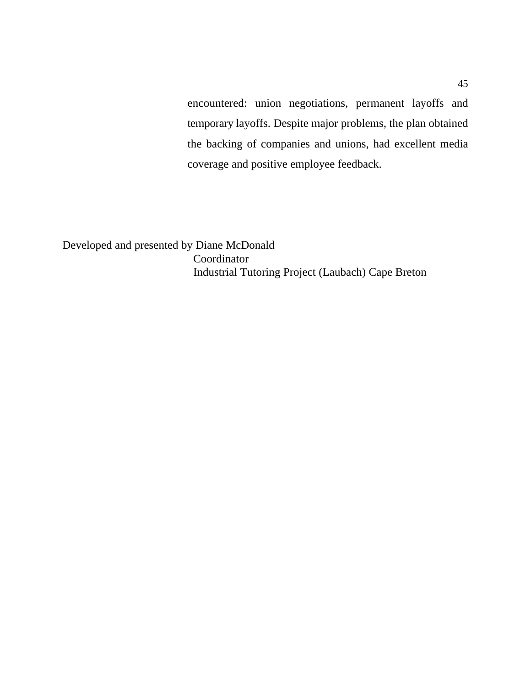encountered: union negotiations, permanent layoffs and temporary layoffs. Despite major problems, the plan obtained the backing of companies and unions, had excellent media coverage and positive employee feedback.

Developed and presented by Diane McDonald Coordinator Industrial Tutoring Project (Laubach) Cape Breton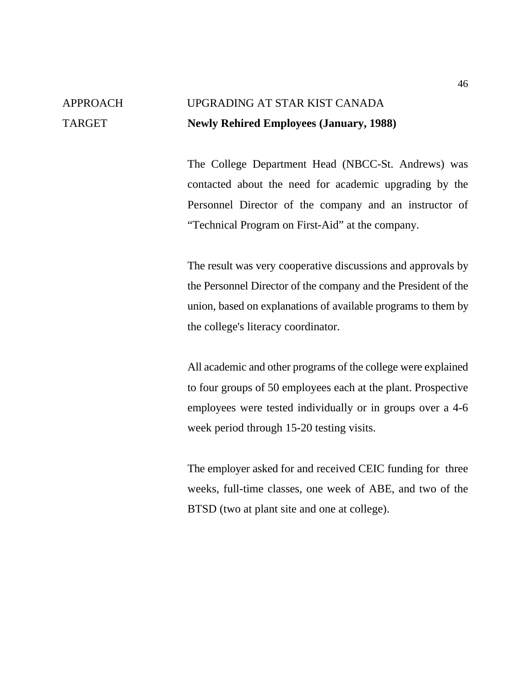# APPROACH UPGRADING AT STAR KIST CANADA TARGET **Newly Rehired Employees (January, 1988)**

The College Department Head (NBCC-St. Andrews) was contacted about the need for academic upgrading by the Personnel Director of the company and an instructor of "Technical Program on First-Aid" at the company.

The result was very cooperative discussions and approvals by the Personnel Director of the company and the President of the union, based on explanations of available programs to them by the college's literacy coordinator.

All academic and other programs of the college were explained to four groups of 50 employees each at the plant. Prospective employees were tested individually or in groups over a 4-6 week period through 15-20 testing visits.

The employer asked for and received CEIC funding for three weeks, full-time classes, one week of ABE, and two of the BTSD (two at plant site and one at college).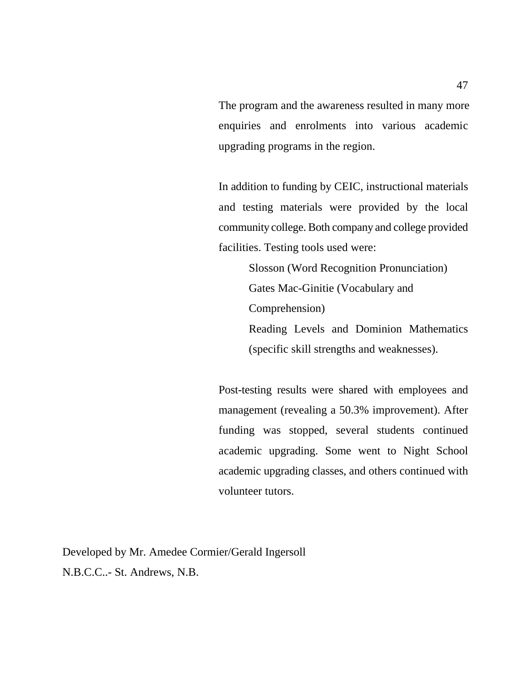The program and the awareness resulted in many more enquiries and enrolments into various academic upgrading programs in the region.

In addition to funding by CEIC, instructional materials and testing materials were provided by the local community college. Both company and college provided facilities. Testing tools used were:

> Slosson (Word Recognition Pronunciation) Gates Mac-Ginitie (Vocabulary and Comprehension) Reading Levels and Dominion Mathematics (specific skill strengths and weaknesses).

Post-testing results were shared with employees and management (revealing a 50.3% improvement). After funding was stopped, several students continued academic upgrading. Some went to Night School academic upgrading classes, and others continued with volunteer tutors.

Developed by Mr. Amedee Cormier/Gerald Ingersoll N.B.C.C..- St. Andrews, N.B.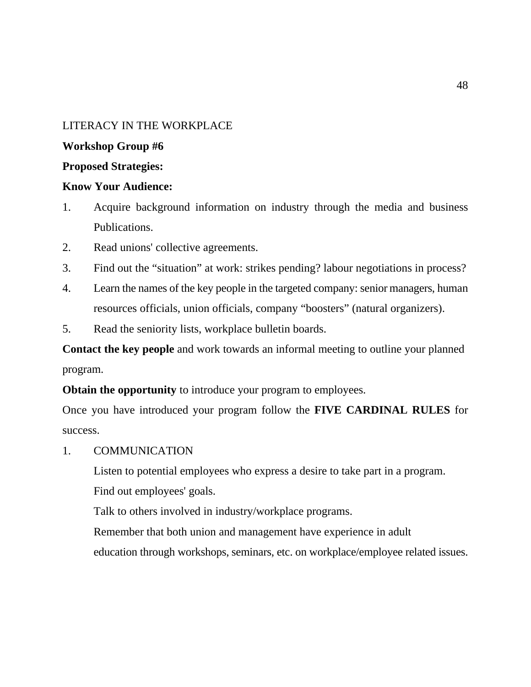### LITERACY IN THE WORKPLACE

#### **Workshop Group #6**

#### **Proposed Strategies:**

## **Know Your Audience:**

- 1. Acquire background information on industry through the media and business Publications.
- 2. Read unions' collective agreements.
- 3. Find out the "situation" at work: strikes pending? labour negotiations in process?
- 4. Learn the names of the key people in the targeted company: senior managers, human resources officials, union officials, company "boosters" (natural organizers).
- 5. Read the seniority lists, workplace bulletin boards.

**Contact the key people** and work towards an informal meeting to outline your planned program.

**Obtain the opportunity** to introduce your program to employees.

Once you have introduced your program follow the **FIVE CARDINAL RULES** for success.

1. COMMUNICATION

Listen to potential employees who express a desire to take part in a program. Find out employees' goals.

Talk to others involved in industry/workplace programs.

Remember that both union and management have experience in adult

education through workshops, seminars, etc. on workplace/employee related issues.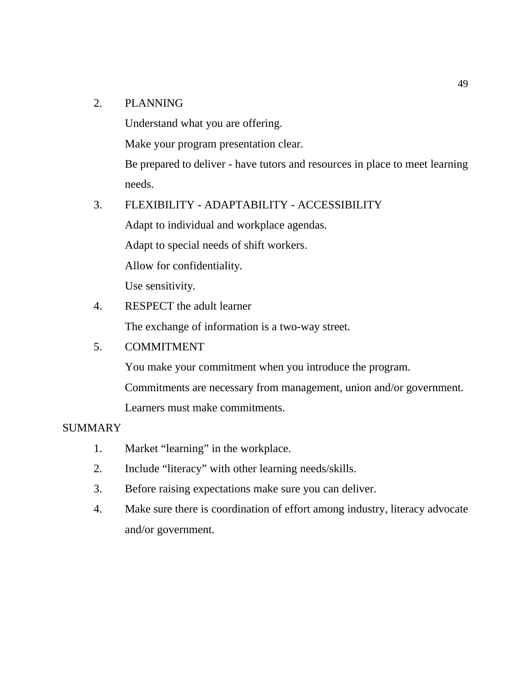### 2. PLANNING

Understand what you are offering.

Make your program presentation clear.

Be prepared to deliver - have tutors and resources in place to meet learning needs.

#### 3. FLEXIBILITY - ADAPTABILITY - ACCESSIBILITY

Adapt to individual and workplace agendas. Adapt to special needs of shift workers. Allow for confidentiality. Use sensitivity.

## 4. RESPECT the adult learner

The exchange of information is a two-way street.

### 5. COMMITMENT

You make your commitment when you introduce the program. Commitments are necessary from management, union and/or government. Learners must make commitments.

#### SUMMARY

- 1. Market "learning" in the workplace.
- 2. Include "literacy" with other learning needs/skills.
- 3. Before raising expectations make sure you can deliver.
- 4. Make sure there is coordination of effort among industry, literacy advocate and/or government.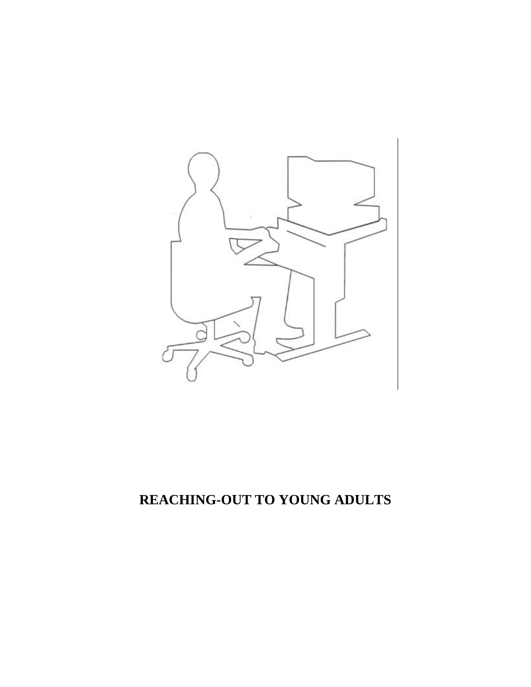

# **REACHING-OUT TO YOUNG ADULTS**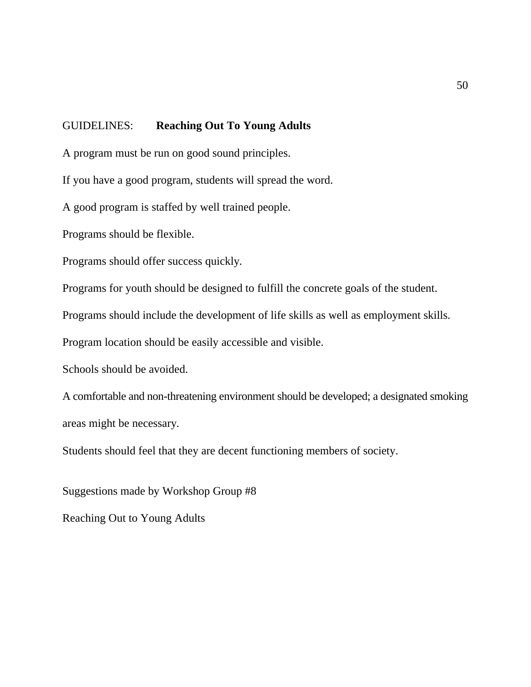## GUIDELINES: **Reaching Out To Young Adults**

A program must be run on good sound principles.

If you have a good program, students will spread the word.

A good program is staffed by well trained people.

Programs should be flexible.

Programs should offer success quickly.

Programs for youth should be designed to fulfill the concrete goals of the student.

Programs should include the development of life skills as well as employment skills.

Program location should be easily accessible and visible.

Schools should be avoided.

A comfortable and non-threatening environment should be developed; a designated smoking areas might be necessary.

Students should feel that they are decent functioning members of society.

Suggestions made by Workshop Group #8 Reaching Out to Young Adults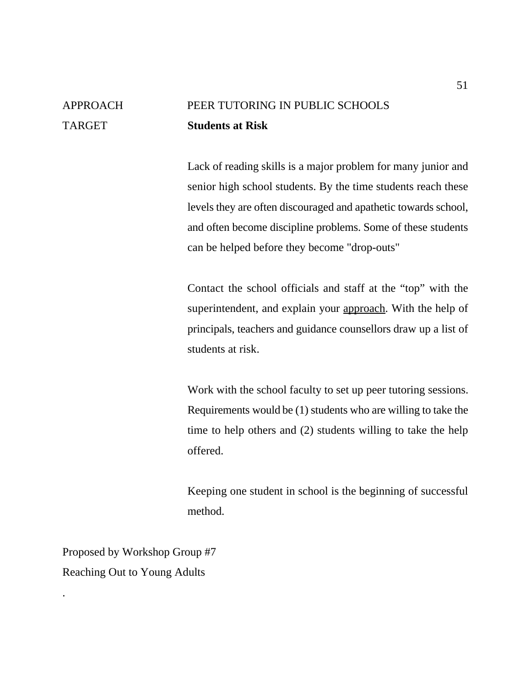# APPROACH PEER TUTORING IN PUBLIC SCHOOLS TARGET **Students at Risk**

Lack of reading skills is a major problem for many junior and senior high school students. By the time students reach these levels they are often discouraged and apathetic towards school, and often become discipline problems. Some of these students can be helped before they become "drop-outs"

Contact the school officials and staff at the "top" with the superintendent, and explain your approach. With the help of principals, teachers and guidance counsellors draw up a list of students at risk.

Work with the school faculty to set up peer tutoring sessions. Requirements would be (1) students who are willing to take the time to help others and (2) students willing to take the help offered.

Keeping one student in school is the beginning of successful method.

Proposed by Workshop Group #7 Reaching Out to Young Adults

.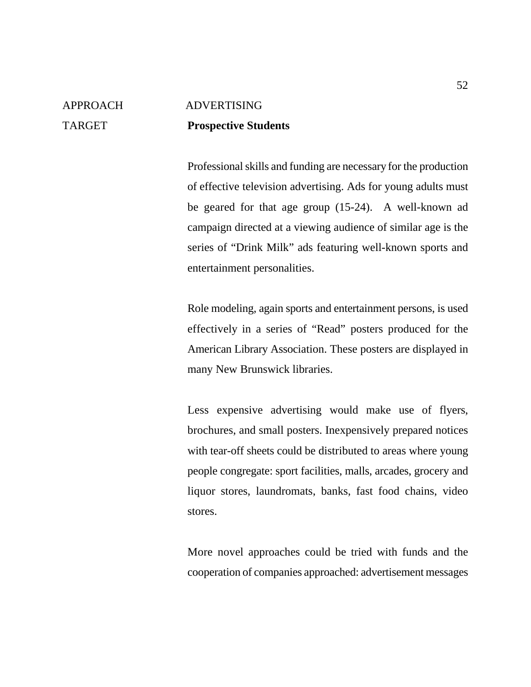# APPROACH ADVERTISING TARGET **Prospective Students**

Professional skills and funding are necessary for the production of effective television advertising. Ads for young adults must be geared for that age group (15-24). A well-known ad campaign directed at a viewing audience of similar age is the series of "Drink Milk" ads featuring well-known sports and entertainment personalities.

Role modeling, again sports and entertainment persons, is used effectively in a series of "Read" posters produced for the American Library Association. These posters are displayed in many New Brunswick libraries.

Less expensive advertising would make use of flyers, brochures, and small posters. Inexpensively prepared notices with tear-off sheets could be distributed to areas where young people congregate: sport facilities, malls, arcades, grocery and liquor stores, laundromats, banks, fast food chains, video stores.

More novel approaches could be tried with funds and the cooperation of companies approached: advertisement messages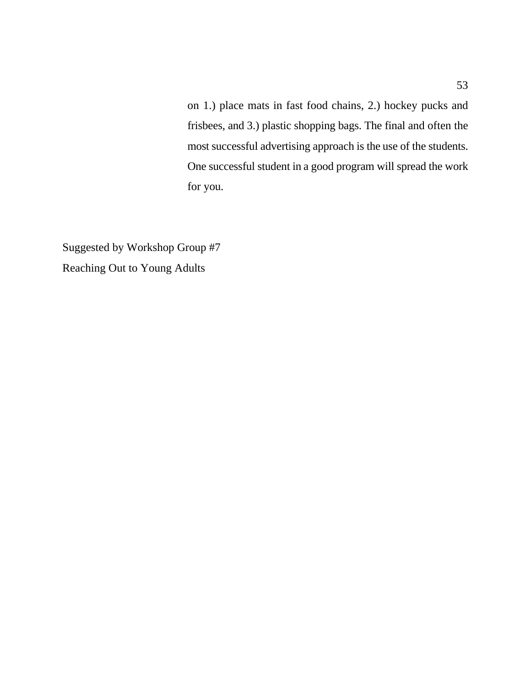on 1.) place mats in fast food chains, 2.) hockey pucks and frisbees, and 3.) plastic shopping bags. The final and often the most successful advertising approach is the use of the students. One successful student in a good program will spread the work for you.

Suggested by Workshop Group #7 Reaching Out to Young Adults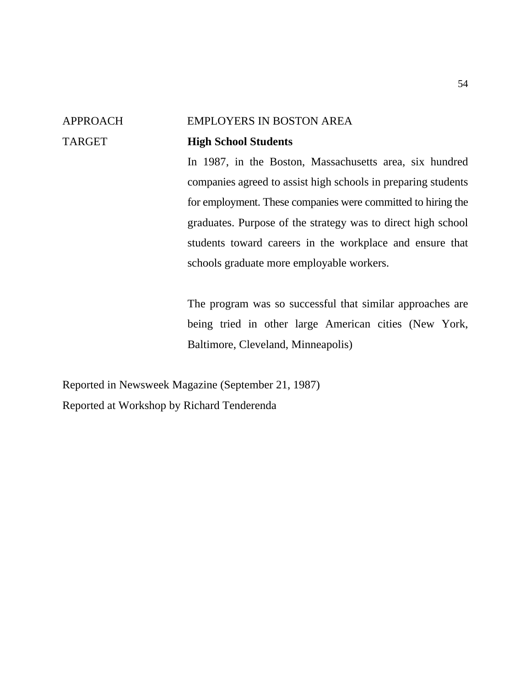## APPROACH EMPLOYERS IN BOSTON AREA TARGET **High School Students**

In 1987, in the Boston, Massachusetts area, six hundred companies agreed to assist high schools in preparing students for employment. These companies were committed to hiring the graduates. Purpose of the strategy was to direct high school students toward careers in the workplace and ensure that schools graduate more employable workers.

The program was so successful that similar approaches are being tried in other large American cities (New York, Baltimore, Cleveland, Minneapolis)

Reported in Newsweek Magazine (September 21, 1987) Reported at Workshop by Richard Tenderenda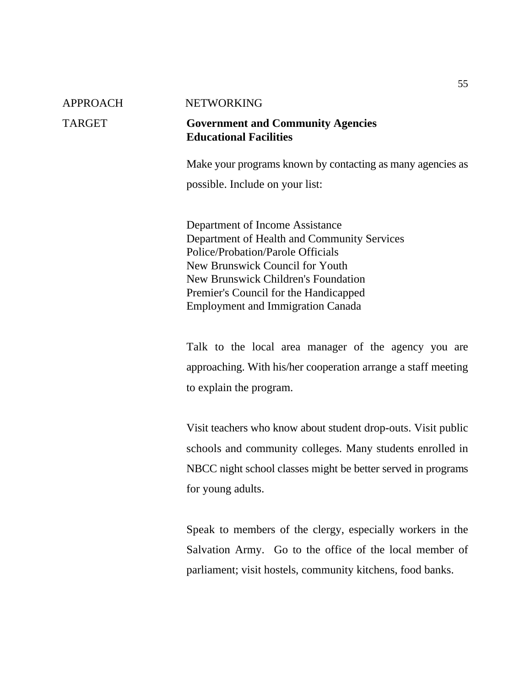#### APPROACH NETWORKING

#### TARGET **Government and Community Agencies Educational Facilities**

Make your programs known by contacting as many agencies as

possible. Include on your list:

Department of Income Assistance Department of Health and Community Services Police/Probation/Parole Officials New Brunswick Council for Youth New Brunswick Children's Foundation Premier's Council for the Handicapped Employment and Immigration Canada

Talk to the local area manager of the agency you are approaching. With his/her cooperation arrange a staff meeting to explain the program.

Visit teachers who know about student drop-outs. Visit public schools and community colleges. Many students enrolled in NBCC night school classes might be better served in programs for young adults.

Speak to members of the clergy, especially workers in the Salvation Army. Go to the office of the local member of parliament; visit hostels, community kitchens, food banks.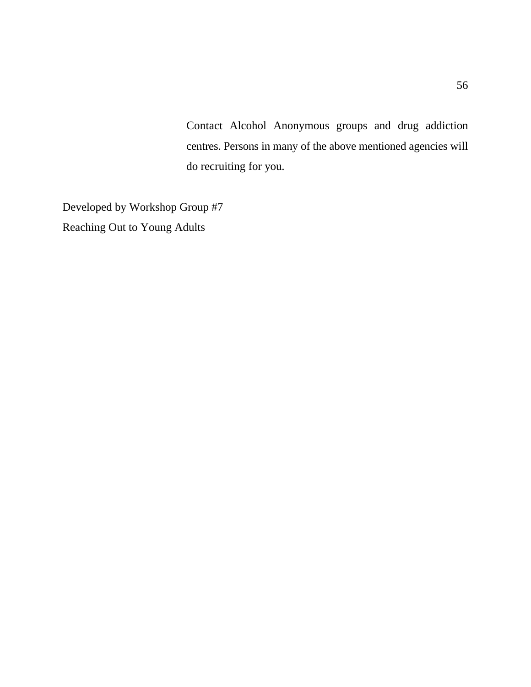Contact Alcohol Anonymous groups and drug addiction centres. Persons in many of the above mentioned agencies will do recruiting for you.

Developed by Workshop Group #7 Reaching Out to Young Adults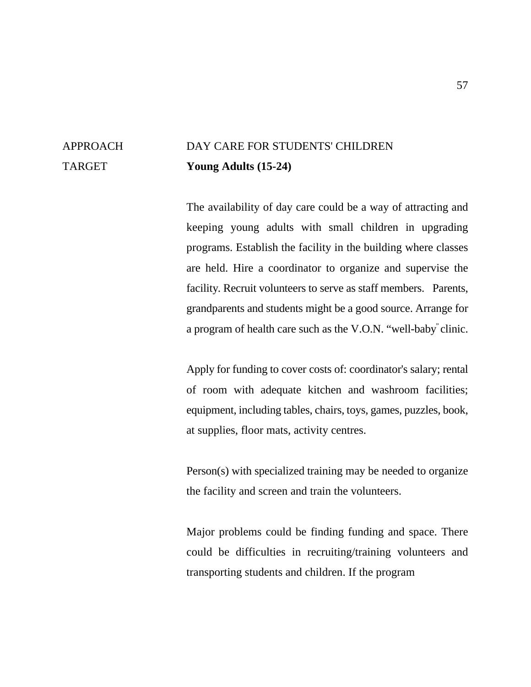## APPROACH DAY CARE FOR STUDENTS' CHILDREN TARGET **Young Adults (15-24)**

The availability of day care could be a way of attracting and keeping young adults with small children in upgrading programs. Establish the facility in the building where classes are held. Hire a coordinator to organize and supervise the facility. Recruit volunteers to serve as staff members. Parents, grandparents and students might be a good source. Arrange for a program of health care such as the V.O.N. "well-baby" clinic.

Apply for funding to cover costs of: coordinator's salary; rental of room with adequate kitchen and washroom facilities; equipment, including tables, chairs, toys, games, puzzles, book, at supplies, floor mats, activity centres.

Person(s) with specialized training may be needed to organize the facility and screen and train the volunteers.

Major problems could be finding funding and space. There could be difficulties in recruiting/training volunteers and transporting students and children. If the program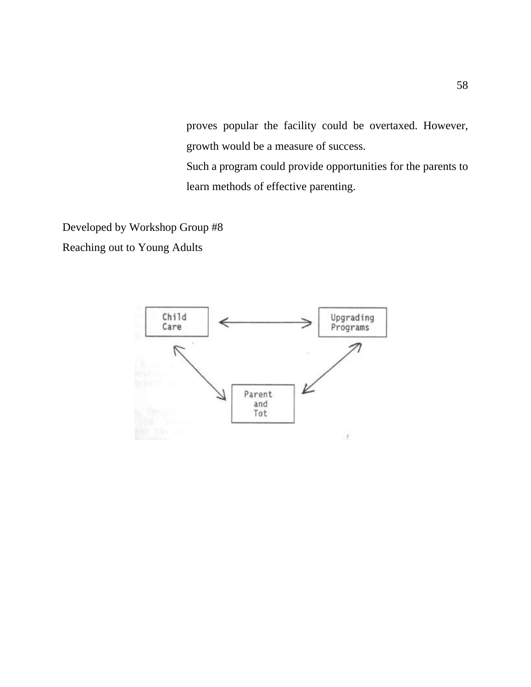proves popular the facility could be overtaxed. However, growth would be a measure of success.

Such a program could provide opportunities for the parents to learn methods of effective parenting.

Developed by Workshop Group #8

Reaching out to Young Adults

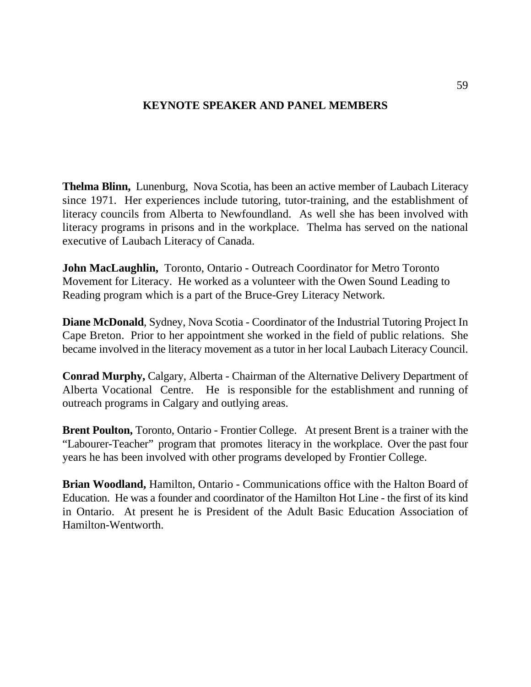### **KEYNOTE SPEAKER AND PANEL MEMBERS**

**Thelma Blinn,** Lunenburg, Nova Scotia, has been an active member of Laubach Literacy since 1971. Her experiences include tutoring, tutor-training, and the establishment of literacy councils from Alberta to Newfoundland. As well she has been involved with literacy programs in prisons and in the workplace. Thelma has served on the national executive of Laubach Literacy of Canada.

**John MacLaughlin,** Toronto, Ontario - Outreach Coordinator for Metro Toronto Movement for Literacy. He worked as a volunteer with the Owen Sound Leading to Reading program which is a part of the Bruce-Grey Literacy Network.

**Diane McDonald**, Sydney, Nova Scotia - Coordinator of the Industrial Tutoring Project In Cape Breton. Prior to her appointment she worked in the field of public relations. She became involved in the literacy movement as a tutor in her local Laubach Literacy Council.

**Conrad Murphy,** Calgary, Alberta - Chairman of the Alternative Delivery Department of Alberta Vocational Centre. He is responsible for the establishment and running of outreach programs in Calgary and outlying areas.

**Brent Poulton,** Toronto, Ontario - Frontier College. At present Brent is a trainer with the "Labourer-Teacher" program that promotes literacy in the workplace. Over the past four years he has been involved with other programs developed by Frontier College.

**Brian Woodland,** Hamilton, Ontario - Communications office with the Halton Board of Education. He was a founder and coordinator of the Hamilton Hot Line - the first of its kind in Ontario. At present he is President of the Adult Basic Education Association of Hamilton-Wentworth.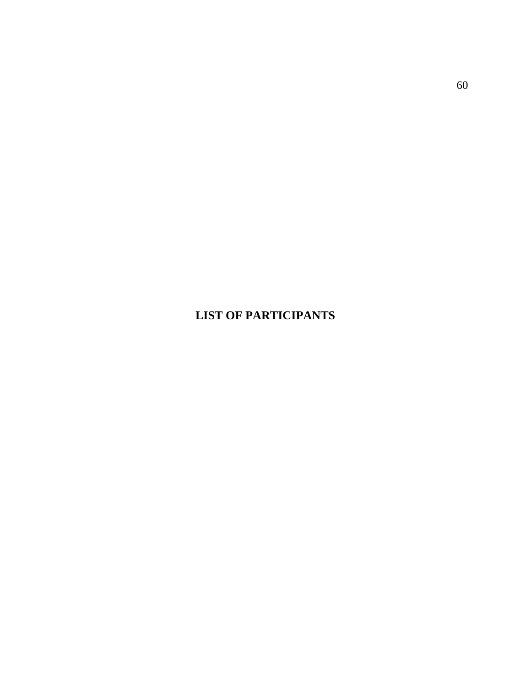## **LIST OF PARTICIPANTS**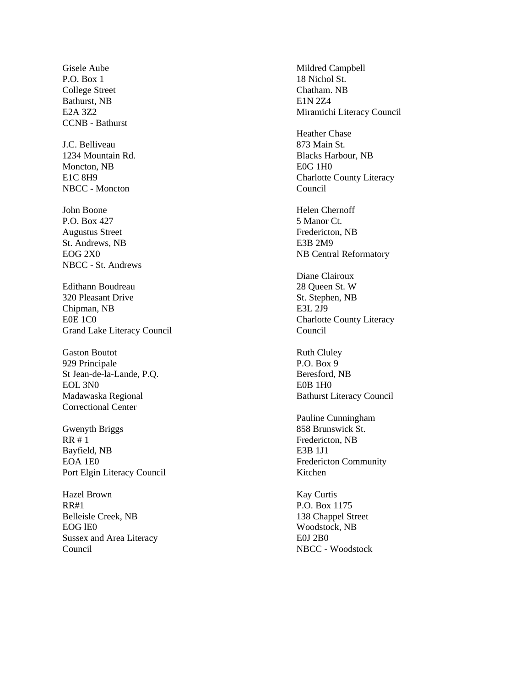P.O. Box 1 18 Nichol St. College Street Chatham. NB Bathurst, NB E1N 2Z4 CCNB - Bathurst

J.C. Belliveau 873 Main St. Moncton, NB E0G 1H0 NBCC - Moncton Council

P.O. Box 427 5 Manor Ct. Augustus Street Fredericton, NB St. Andrews, NB E3B 2M9 NBCC - St. Andrews

Edithann Boudreau 28 Queen St. W 320 Pleasant Drive St. Stephen, NB Chipman, NB E3L 2J9 E0E 1C0 Charlotte County Literacy Grand Lake Literacy Council Council

Gaston Boutot **Ruth Clubs** Ruth Clubs 929 Principale P.O. Box 9 St Jean-de-la-Lande, P.Q. Beresford, NB EOL 3N0 EOB 1H0 Correctional Center

Gwenyth Briggs 858 Brunswick St. RR # 1 Fredericton, NB Bayfield, NB E3B 1J1 EOA 1E0 Fredericton Community Port Elgin Literacy Council Kitchen

Hazel Brown Kay Curtis RR#1 P.O. Box 1175 Belleisle Creek, NB 138 Chappel Street EOG lE0 Woodstock, NB Sussex and Area Literacy E0J 2B0 Council NBCC - Woodstock

Gisele Aube Mildred Campbell E2A 3Z2 Miramichi Literacy Council

Heather Chase 1234 Mountain Rd. Blacks Harbour, NB E1C 8H9 Charlotte County Literacy

John Boone Helen Chernoff EOG 2X0 NB Central Reformatory

Diane Clairoux

Madawaska Regional Bathurst Literacy Council

Pauline Cunningham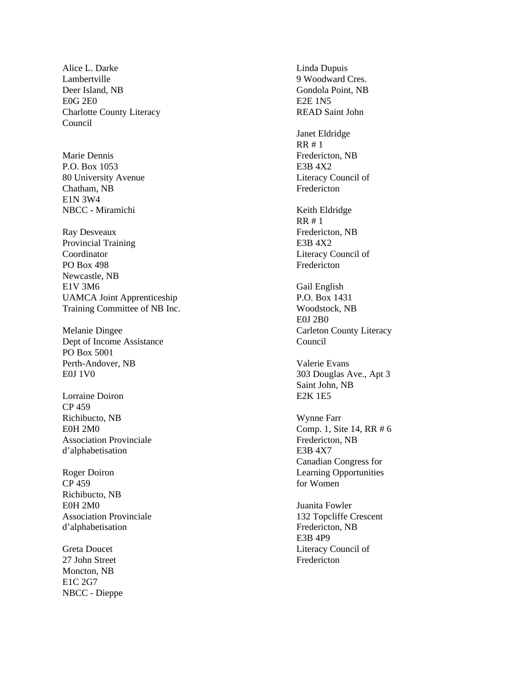Alice L. Darke Linda Dupuis Lambertville 9 Woodward Cres. Deer Island, NB Gondola Point, NB E0G 2E0 E2E 1N5 Charlotte County Literacy READ Saint John Council

P.O. Box 1053 E3B 4X2 80 University Avenue Literacy Council of Chatham, NB Fredericton E1N 3W4 NBCC - Miramichi Keith Eldridge

Ray Desveaux Fredericton, NB Provincial Training E3B 4X2 Coordinator Literacy Council of PO Box 498 Fredericton Newcastle, NB E1V 3M6 Gail English UAMCA Joint Apprenticeship P.O. Box 1431 Training Committee of NB Inc. Woodstock, NB

Dept of Income Assistance Council PO Box 5001 Perth-Andover, NB Valerie Evans E0J 1V0 303 Douglas Ave., Apt 3

Lorraine Doiron **E2K 1E5** CP 459 Richibucto, NB Wynne Farr Association Provinciale Fredericton, NB d'alphabetisation E3B 4X7

CP 459 for Women Richibucto, NB E0H 2M0 Juanita Fowler Association Provinciale 132 Topcliffe Crescent d'alphabetisation Fredericton, NB

27 John Street Fredericton Moncton, NB E1C 2G7 NBCC - Dieppe

Janet Eldridge RR # 1 Marie Dennis **Fredericton**, NB RR # 1 E0J 2B0 Melanie Dingee Carleton County Literacy Saint John, NB E0H 2M0 Comp. 1, Site 14, RR # 6 Canadian Congress for Roger Doiron Learning Opportunities E3B 4P9 Greta Doucet Literacy Council of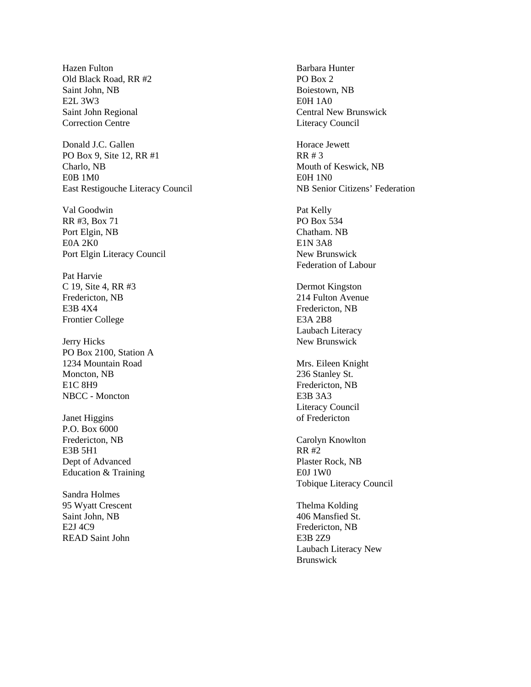Hazen Fulton **Barbara Hunter** Old Black Road, RR #2 PO Box 2 Saint John, NB Boiestown, NB E2L 3W3 E0H 1A0 Correction Centre Literacy Council

Donald J.C. Gallen Horace Jewett PO Box 9, Site 12, RR #1 RR # 3 Charlo, NB Mouth of Keswick, NB E0B 1M0 E0H 1N0 East Restigouche Literacy Council NB Senior Citizens' Federation

Val Goodwin Pat Kelly RR #3, Box 71 PO Box 534 Port Elgin, NB Chatham. NB E0A 2K0 E1N 3A8 Port Elgin Literacy Council New Brunswick

Pat Harvie C 19, Site 4, RR #3 Dermot Kingston Fredericton, NB 214 Fulton Avenue E3B 4X4 Fredericton, NB Frontier College E3A 2B8

Jerry Hicks New Brunswick PO Box 2100, Station A 1234 Mountain Road Mrs. Eileen Knight Moncton, NB 236 Stanley St. E1C 8H9 Fredericton, NB NBCC - Moncton E3B 3A3

Janet Higgins of Fredericton P.O. Box 6000 Fredericton, NB Carolyn Knowlton E3B 5H1 RR #2 Dept of Advanced Plaster Rock, NB Education & Training E0J 1W0

Sandra Holmes 95 Wyatt Crescent Thelma Kolding Saint John, NB 406 Mansfied St. E2J 4C9 Fredericton, NB READ Saint John **E3B 2Z9** 

Saint John Regional Central New Brunswick

Federation of Labour

Laubach Literacy

Literacy Council

Tobique Literacy Council

Laubach Literacy New Brunswick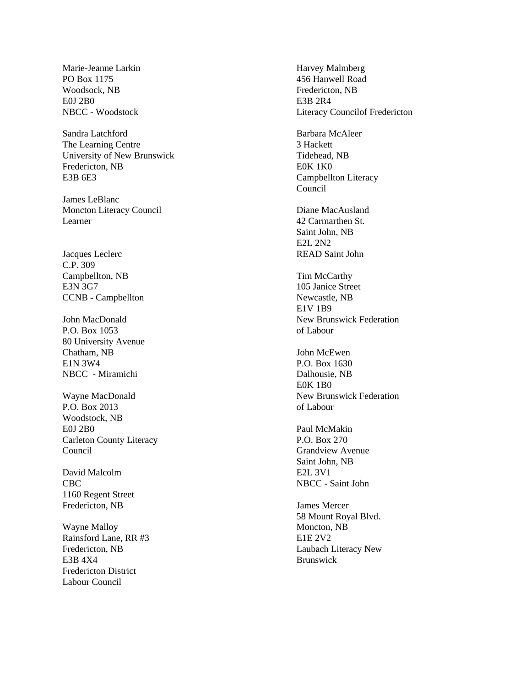Marie-Jeanne Larkin Harvey Malmberg PO Box 1175 456 Hanwell Road Woodsock, NB Fredericton, NB E0J 2B0 E3B 2R4

Sandra Latchford Barbara McAleer The Learning Centre 3 Hackett University of New Brunswick Tidehead, NB Fredericton, NB E0K 1K0 E3B 6E3 Campbellton Literacy

James LeBlanc Moncton Literacy Council Diane MacAusland Learner 42 Carmarthen St.

C.P. 309 Campbellton, NB Tim McCarthy E3N 3G7 105 Janice Street CCNB - Campbellton Newcastle, NB

P.O. Box 1053 of Labour 80 University Avenue Chatham, NB John McEwen E1N 3W4 P.O. Box 1630 NBCC - Miramichi Dalhousie, NB

P.O. Box 2013 of Labour Woodstock, NB E0J 2B0 Paul McMakin Carleton County Literacy P.O. Box 270 Council Grandview Avenue

David Malcolm E2L 3V1 1160 Regent Street Fredericton, NB James Mercer

Wayne Malloy Moncton, NB Rainsford Lane, RR #3 E1E 2V2<br>Fredericton, NB Laubach 1 E3B 4X4 Brunswick Fredericton District Labour Council

NBCC - Woodstock Literacy Councilof Fredericton

Council

Saint John, NB E2L 2N2 Jacques Leclerc READ Saint John

E1V 1B9 John MacDonald New Brunswick Federation

E0K 1B0 Wayne MacDonald **New Brunswick Federation** 

Saint John, NB CBC NBCC - Saint John

> 58 Mount Royal Blvd. Laubach Literacy New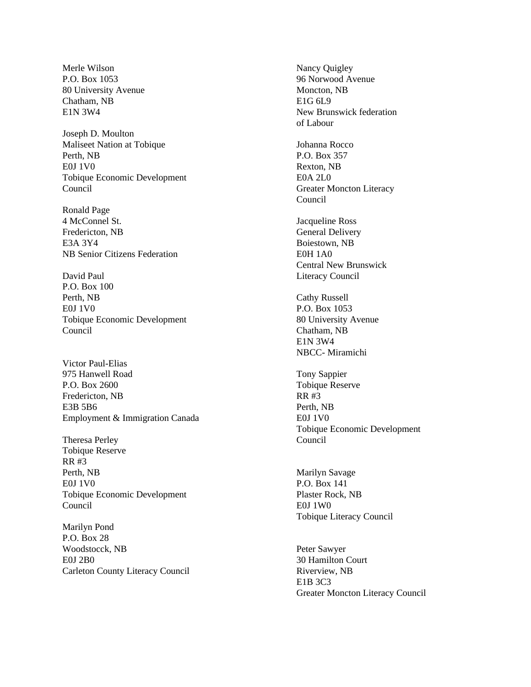Merle Wilson Nancy Quigley P.O. Box 1053 96 Norwood Avenue 80 University Avenue Moncton, NB Chatham, NB E1G 6L9

Joseph D. Moulton Maliseet Nation at Tobique Johanna Rocco Perth, NB P.O. Box 357 E0J 1V0 Rexton, NB Tobique Economic Development E0A 2L0 Council Greater Moncton Literacy

Ronald Page 4 McConnel St. Jacqueline Ross Fredericton, NB General Delivery E3A 3Y4 Boiestown, NB NB Senior Citizens Federation E0H 1A0

David Paul **Literacy Council** P.O. Box 100 Perth, NB Cathy Russell E0J 1V0 P.O. Box 1053 Tobique Economic Development 80 University Avenue Council Chatham, NB

Victor Paul-Elias 975 Hanwell Road Tony Sappier P.O. Box 2600 Tobique Reserve Fredericton, NB RR #3 E3B 5B6 Perth, NB Employment & Immigration Canada E0J 1V0

Theresa Perley Council Tobique Reserve RR #3 Perth, NB Marilyn Savage E0J 1V0 P.O. Box 141 Tobique Economic Development Plaster Rock, NB Council E0J 1W0

Marilyn Pond P.O. Box 28 Woodstocck, NB Peter Sawyer E0J 2B0 30 Hamilton Court Carleton County Literacy Council Riverview, NB

E1N 3W4 New Brunswick federation of Labour

Council

Central New Brunswick

E1N 3W4 NBCC- Miramichi

Tobique Economic Development

Tobique Literacy Council

E1B 3C3 Greater Moncton Literacy Council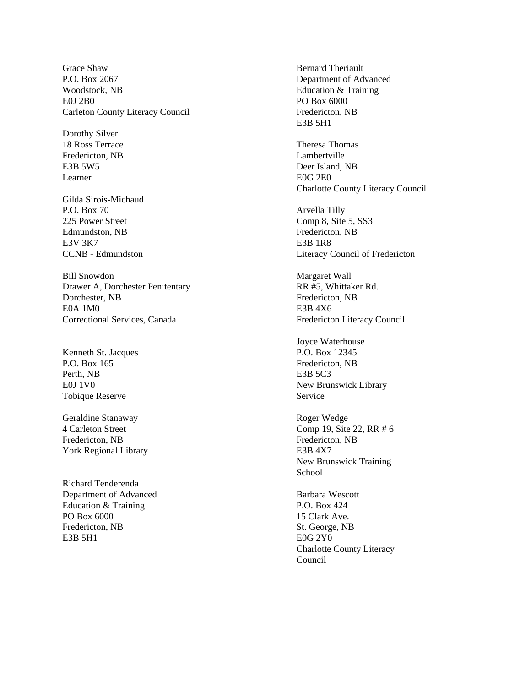Grace Shaw Bernard Theriault P.O. Box 2067 Department of Advanced Woodstock, NB Education & Training E0J 2B0 PO Box 6000 Carleton County Literacy Council Fredericton, NB

Dorothy Silver Fredericton, NB Lambertville Learner E0G 2E0

Gilda Sirois-Michaud<br>P.O. Box 70 225 Power Street Comp 8, Site 5, SS3 Edmundston, NB Fredericton, NB E3V 3K7 E3B 1R8

Bill Snowdon Margaret Wall Drawer A, Dorchester Penitentary RR #5, Whittaker Rd. Dorchester, NB Fredericton, NB E0A 1M0 E3B 4X6 Correctional Services, Canada Fredericton Literacy Council

Kenneth St. Jacques P.O. Box 12345 P.O. Box 165 Fredericton, NB Perth, NB E3B 5C3 Tobique Reserve Service

Geraldine Stanaway **Roger Wedge** Fredericton, NB Fredericton, NB York Regional Library E3B 4X7

Richard Tenderenda Department of Advanced Barbara Wescott Education & Training P.O. Box 424 PO Box 6000 15 Clark Ave. Fredericton, NB St. George, NB E3B 5H1 E0G 2Y0

E3B 5H1

18 Ross Terrace Thomas Theresa Thomas Theresa Thomas Theresa Thomas Theresa Thomas Theresa Thomas Thomas Thomas Thomas Thomas Thomas Theresa Thomas Thomas Thomas Thomas Thomas Thomas Thomas Thomas Thomas Thomas Thomas Thom E3B 5W5 Deer Island, NB Charlotte County Literacy Council

Arvella Tilly CCNB - Edmundston Literacy Council of Fredericton

Joyce Waterhouse E0J 1V0 New Brunswick Library

4 Carleton Street Comp 19, Site 22, RR # 6 New Brunswick Training **School** 

> Charlotte County Literacy Council